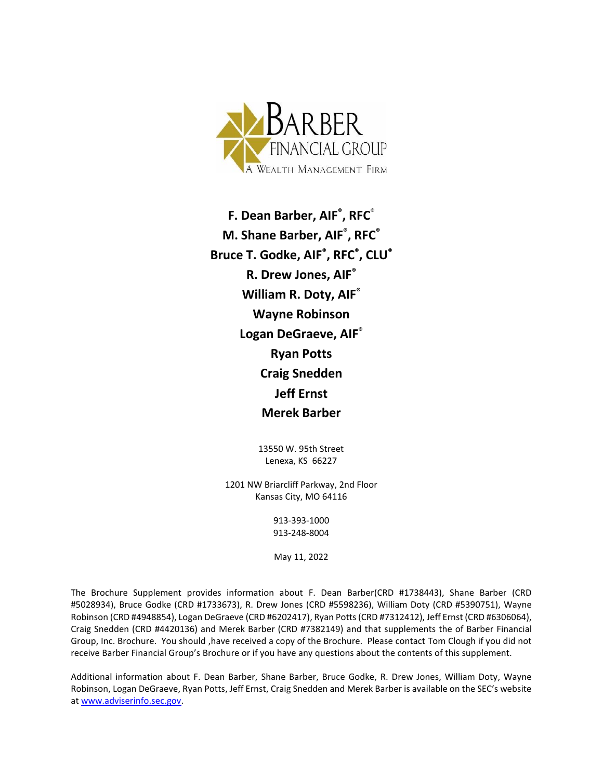

**F. Dean Barber, AIF® , RFC**® **M. Shane Barber, AIF® , RFC® Bruce T. Godke, AIF® , RFC® , CLU® R. Drew Jones, AIF® William R. Doty, AIF® Wayne Robinson Logan DeGraeve, AIF® Ryan Potts Craig Snedden Jeff Ernst Merek Barber**

> 13550 W. 95th Street Lenexa, KS 66227

1201 NW Briarcliff Parkway, 2nd Floor Kansas City, MO 64116

> 913-393-1000 913-248-8004

May 11, 2022

The Brochure Supplement provides information about F. Dean Barber(CRD #1738443), Shane Barber (CRD #5028934), Bruce Godke (CRD #1733673), R. Drew Jones (CRD #5598236), William Doty (CRD #5390751), Wayne Robinson (CRD #4948854), Logan DeGraeve (CRD #6202417), Ryan Potts (CRD #7312412), Jeff Ernst (CRD #6306064), Craig Snedden (CRD #4420136) and Merek Barber (CRD #7382149) and that supplements the of Barber Financial Group, Inc. Brochure. You should ,have received a copy of the Brochure. Please contact Tom Clough if you did not receive Barber Financial Group's Brochure or if you have any questions about the contents of this supplement.

Additional information about F. Dean Barber, Shane Barber, Bruce Godke, R. Drew Jones, William Doty, Wayne Robinson, Logan DeGraeve, Ryan Potts, Jeff Ernst, Craig Snedden and Merek Barber is available on the SEC's website a[t www.adviserinfo.sec.gov.](http://www.adviserinfo.sec.gov/)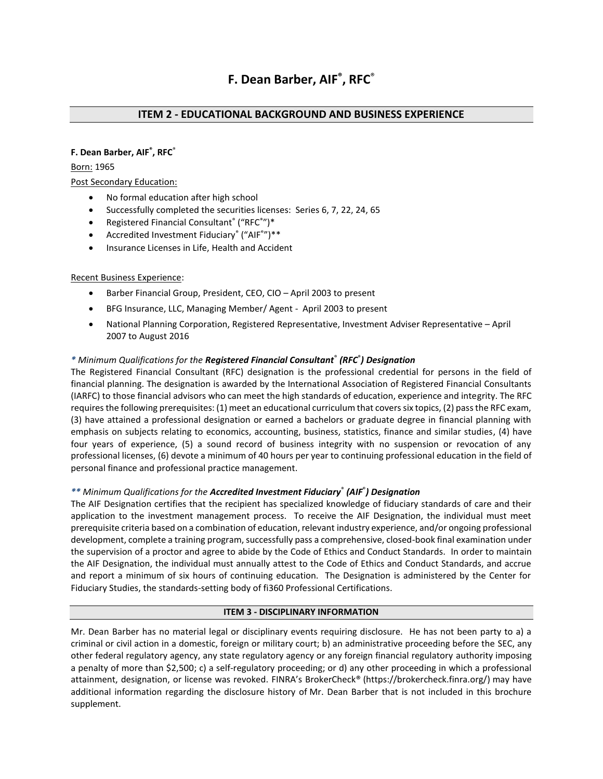# **F. Dean Barber, AIF® , RFC**®

# **ITEM 2 - EDUCATIONAL BACKGROUND AND BUSINESS EXPERIENCE**

# **F. Dean Barber, AIF® , RFC**®

#### Born: 1965

# Post Secondary Education:

- No formal education after high school
- Successfully completed the securities licenses: Series 6, 7, 22, 24, 65
- Registered Financial Consultant® ("RFC®")\*
- Accredited Investment Fiduciary® ("AIF®")\*\*
- Insurance Licenses in Life, Health and Accident

#### Recent Business Experience:

- Barber Financial Group, President, CEO, CIO April 2003 to present
- BFG Insurance, LLC, Managing Member/ Agent April 2003 to present
- National Planning Corporation, Registered Representative, Investment Adviser Representative April 2007 to August 2016

# *\* Minimum Qualifications for the Registered Financial Consultant*® *(RFC*® *) Designation*

The Registered Financial Consultant (RFC) designation is the professional credential for persons in the field of financial planning. The designation is awarded by the International Association of Registered Financial Consultants (IARFC) to those financial advisors who can meet the high standards of education, experience and integrity. The RFC requires the following prerequisites: (1) meet an educational curriculum that covers six topics, (2) pass the RFC exam, (3) have attained a professional designation or earned a bachelors or graduate degree in financial planning with emphasis on subjects relating to economics, accounting, business, statistics, finance and similar studies, (4) have four years of experience, (5) a sound record of business integrity with no suspension or revocation of any professional licenses, (6) devote a minimum of 40 hours per year to continuing professional education in the field of personal finance and professional practice management.

# *\*\* Minimum Qualifications for the Accredited Investment Fiduciary*® *(AIF*® *) Designation*

The AIF Designation certifies that the recipient has specialized knowledge of fiduciary standards of care and their application to the investment management process. To receive the AIF Designation, the individual must meet prerequisite criteria based on a combination of education, relevant industry experience, and/or ongoing professional development, complete a training program, successfully pass a comprehensive, closed-book final examination under the supervision of a proctor and agree to abide by the Code of Ethics and Conduct Standards. In order to maintain the AIF Designation, the individual must annually attest to the Code of Ethics and Conduct Standards, and accrue and report a minimum of six hours of continuing education. The Designation is administered by the Center for Fiduciary Studies, the standards-setting body of fi360 Professional Certifications.

#### **ITEM 3 - DISCIPLINARY INFORMATION**

Mr. Dean Barber has no material legal or disciplinary events requiring disclosure. He has not been party to a) a criminal or civil action in a domestic, foreign or military court; b) an administrative proceeding before the SEC, any other federal regulatory agency, any state regulatory agency or any foreign financial regulatory authority imposing a penalty of more than \$2,500; c) a self-regulatory proceeding; or d) any other proceeding in which a professional attainment, designation, or license was revoked. FINRA's BrokerCheck® [\(https://brokercheck.finra.org/\)](https://brokercheck.finra.org/) may have additional information regarding the disclosure history of Mr. Dean Barber that is not included in this brochure supplement.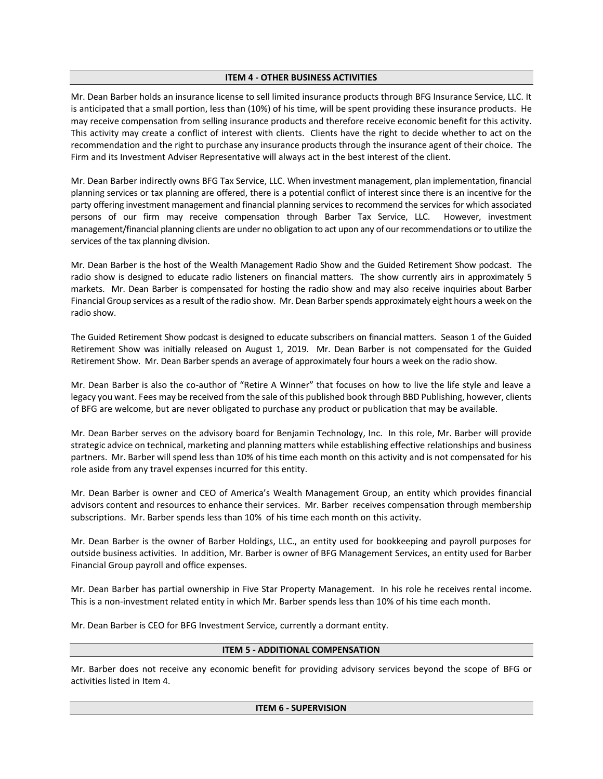#### **ITEM 4 - OTHER BUSINESS ACTIVITIES**

Mr. Dean Barber holds an insurance license to sell limited insurance products through BFG Insurance Service, LLC. It is anticipated that a small portion, less than (10%) of his time, will be spent providing these insurance products. He may receive compensation from selling insurance products and therefore receive economic benefit for this activity. This activity may create a conflict of interest with clients. Clients have the right to decide whether to act on the recommendation and the right to purchase any insurance products through the insurance agent of their choice. The Firm and its Investment Adviser Representative will always act in the best interest of the client.

Mr. Dean Barber indirectly owns BFG Tax Service, LLC. When investment management, plan implementation, financial planning services or tax planning are offered, there is a potential conflict of interest since there is an incentive for the party offering investment management and financial planning services to recommend the services for which associated persons of our firm may receive compensation through Barber Tax Service, LLC. However, investment management/financial planning clients are under no obligation to act upon any of our recommendations or to utilize the services of the tax planning division.

Mr. Dean Barber is the host of the Wealth Management Radio Show and the Guided Retirement Show podcast. The radio show is designed to educate radio listeners on financial matters. The show currently airs in approximately 5 markets. Mr. Dean Barber is compensated for hosting the radio show and may also receive inquiries about Barber Financial Group services as a result of the radio show. Mr. Dean Barber spends approximately eight hours a week on the radio show.

The Guided Retirement Show podcast is designed to educate subscribers on financial matters. Season 1 of the Guided Retirement Show was initially released on August 1, 2019. Mr. Dean Barber is not compensated for the Guided Retirement Show. Mr. Dean Barber spends an average of approximately four hours a week on the radio show.

Mr. Dean Barber is also the co-author of "Retire A Winner" that focuses on how to live the life style and leave a legacy you want. Fees may be received from the sale of this published book through BBD Publishing, however, clients of BFG are welcome, but are never obligated to purchase any product or publication that may be available.

Mr. Dean Barber serves on the advisory board for Benjamin Technology, Inc. In this role, Mr. Barber will provide strategic advice on technical, marketing and planning matters while establishing effective relationships and business partners. Mr. Barber will spend less than 10% of his time each month on this activity and is not compensated for his role aside from any travel expenses incurred for this entity.

Mr. Dean Barber is owner and CEO of America's Wealth Management Group, an entity which provides financial advisors content and resources to enhance their services. Mr. Barber receives compensation through membership subscriptions. Mr. Barber spends less than 10% of his time each month on this activity.

Mr. Dean Barber is the owner of Barber Holdings, LLC., an entity used for bookkeeping and payroll purposes for outside business activities. In addition, Mr. Barber is owner of BFG Management Services, an entity used for Barber Financial Group payroll and office expenses.

Mr. Dean Barber has partial ownership in Five Star Property Management. In his role he receives rental income. This is a non-investment related entity in which Mr. Barber spends less than 10% of his time each month.

Mr. Dean Barber is CEO for BFG Investment Service, currently a dormant entity.

#### **ITEM 5 - ADDITIONAL COMPENSATION**

Mr. Barber does not receive any economic benefit for providing advisory services beyond the scope of BFG or activities listed in Item 4.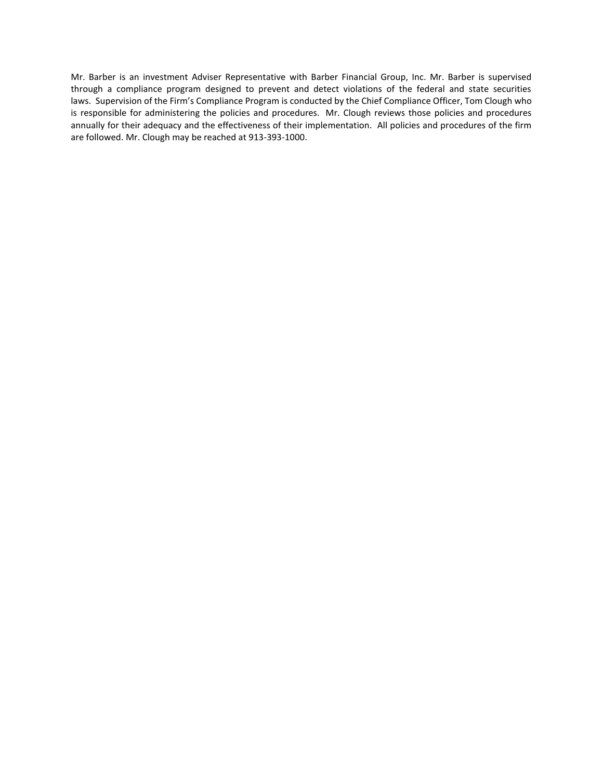Mr. Barber is an investment Adviser Representative with Barber Financial Group, Inc. Mr. Barber is supervised through a compliance program designed to prevent and detect violations of the federal and state securities laws. Supervision of the Firm's Compliance Program is conducted by the Chief Compliance Officer, Tom Clough who is responsible for administering the policies and procedures. Mr. Clough reviews those policies and procedures annually for their adequacy and the effectiveness of their implementation. All policies and procedures of the firm are followed. Mr. Clough may be reached at 913-393-1000.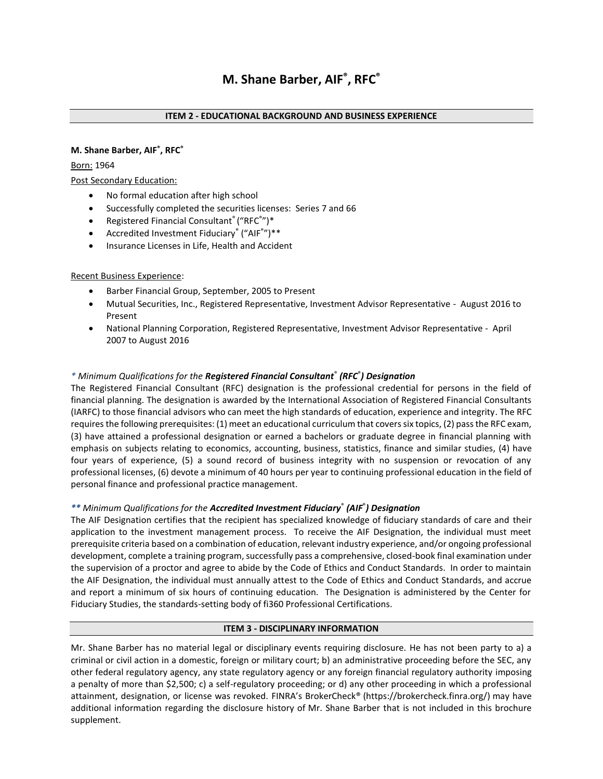# **M. Shane Barber, AIF® , RFC®**

# Born: 1964

# Post Secondary Education:

- No formal education after high school
- Successfully completed the securities licenses: Series 7 and 66
- Registered Financial Consultant® ("RFC® ")\*
- Accredited Investment Fiduciary® ("AIF®")\*\*
- Insurance Licenses in Life, Health and Accident

# Recent Business Experience:

- Barber Financial Group, September, 2005 to Present
- Mutual Securities, Inc., Registered Representative, Investment Advisor Representative August 2016 to Present
- National Planning Corporation, Registered Representative, Investment Advisor Representative April 2007 to August 2016

# *\* Minimum Qualifications for the Registered Financial Consultant*® *(RFC*® *) Designation*

The Registered Financial Consultant (RFC) designation is the professional credential for persons in the field of financial planning. The designation is awarded by the International Association of Registered Financial Consultants (IARFC) to those financial advisors who can meet the high standards of education, experience and integrity. The RFC requires the following prerequisites: (1) meet an educational curriculum that covers six topics, (2) pass the RFC exam, (3) have attained a professional designation or earned a bachelors or graduate degree in financial planning with emphasis on subjects relating to economics, accounting, business, statistics, finance and similar studies, (4) have four years of experience, (5) a sound record of business integrity with no suspension or revocation of any professional licenses, (6) devote a minimum of 40 hours per year to continuing professional education in the field of personal finance and professional practice management.

# *\*\* Minimum Qualifications for the Accredited Investment Fiduciary*® *(AIF*® *) Designation*

The AIF Designation certifies that the recipient has specialized knowledge of fiduciary standards of care and their application to the investment management process. To receive the AIF Designation, the individual must meet prerequisite criteria based on a combination of education, relevant industry experience, and/or ongoing professional development, complete a training program, successfully pass a comprehensive, closed-book final examination under the supervision of a proctor and agree to abide by the Code of Ethics and Conduct Standards. In order to maintain the AIF Designation, the individual must annually attest to the Code of Ethics and Conduct Standards, and accrue and report a minimum of six hours of continuing education. The Designation is administered by the Center for Fiduciary Studies, the standards-setting body of fi360 Professional Certifications.

#### **ITEM 3 - DISCIPLINARY INFORMATION**

Mr. Shane Barber has no material legal or disciplinary events requiring disclosure. He has not been party to a) a criminal or civil action in a domestic, foreign or military court; b) an administrative proceeding before the SEC, any other federal regulatory agency, any state regulatory agency or any foreign financial regulatory authority imposing a penalty of more than \$2,500; c) a self-regulatory proceeding; or d) any other proceeding in which a professional attainment, designation, or license was revoked. FINRA's BrokerCheck® [\(https://brokercheck.finra.org/\)](https://brokercheck.finra.org/) may have additional information regarding the disclosure history of Mr. Shane Barber that is not included in this brochure supplement.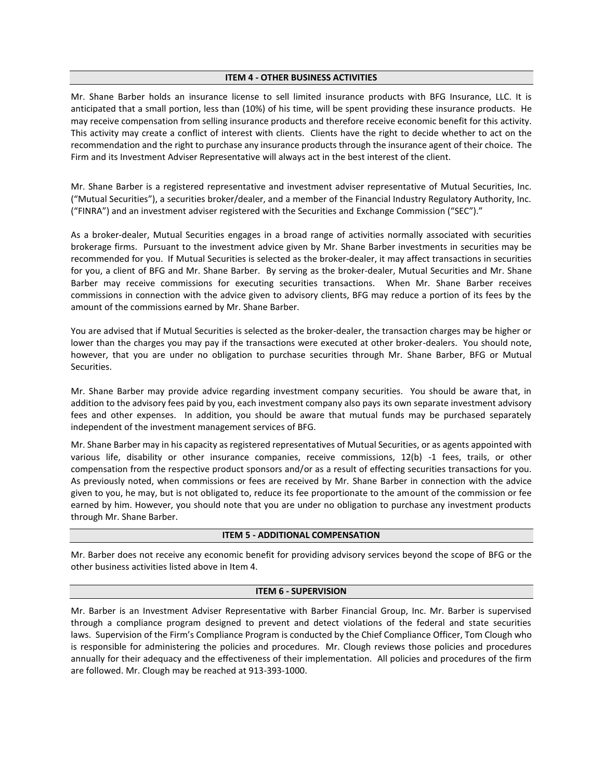#### **ITEM 4 - OTHER BUSINESS ACTIVITIES**

Mr. Shane Barber holds an insurance license to sell limited insurance products with BFG Insurance, LLC. It is anticipated that a small portion, less than (10%) of his time, will be spent providing these insurance products. He may receive compensation from selling insurance products and therefore receive economic benefit for this activity. This activity may create a conflict of interest with clients. Clients have the right to decide whether to act on the recommendation and the right to purchase any insurance products through the insurance agent of their choice. The Firm and its Investment Adviser Representative will always act in the best interest of the client.

Mr. Shane Barber is a registered representative and investment adviser representative of Mutual Securities, Inc. ("Mutual Securities"), a securities broker/dealer, and a member of the Financial Industry Regulatory Authority, Inc. ("FINRA") and an investment adviser registered with the Securities and Exchange Commission ("SEC")."

As a broker-dealer, Mutual Securities engages in a broad range of activities normally associated with securities brokerage firms. Pursuant to the investment advice given by Mr. Shane Barber investments in securities may be recommended for you. If Mutual Securities is selected as the broker-dealer, it may affect transactions in securities for you, a client of BFG and Mr. Shane Barber. By serving as the broker-dealer, Mutual Securities and Mr. Shane Barber may receive commissions for executing securities transactions. When Mr. Shane Barber receives commissions in connection with the advice given to advisory clients, BFG may reduce a portion of its fees by the amount of the commissions earned by Mr. Shane Barber.

You are advised that if Mutual Securities is selected as the broker-dealer, the transaction charges may be higher or lower than the charges you may pay if the transactions were executed at other broker-dealers. You should note, however, that you are under no obligation to purchase securities through Mr. Shane Barber, BFG or Mutual Securities.

Mr. Shane Barber may provide advice regarding investment company securities. You should be aware that, in addition to the advisory fees paid by you, each investment company also pays its own separate investment advisory fees and other expenses. In addition, you should be aware that mutual funds may be purchased separately independent of the investment management services of BFG.

Mr. Shane Barber may in his capacity as registered representatives of Mutual Securities, or as agents appointed with various life, disability or other insurance companies, receive commissions, 12(b) -1 fees, trails, or other compensation from the respective product sponsors and/or as a result of effecting securities transactions for you. As previously noted, when commissions or fees are received by Mr. Shane Barber in connection with the advice given to you, he may, but is not obligated to, reduce its fee proportionate to the amount of the commission or fee earned by him. However, you should note that you are under no obligation to purchase any investment products through Mr. Shane Barber.

#### **ITEM 5 - ADDITIONAL COMPENSATION**

Mr. Barber does not receive any economic benefit for providing advisory services beyond the scope of BFG or the other business activities listed above in Item 4.

#### **ITEM 6 - SUPERVISION**

Mr. Barber is an Investment Adviser Representative with Barber Financial Group, Inc. Mr. Barber is supervised through a compliance program designed to prevent and detect violations of the federal and state securities laws. Supervision of the Firm's Compliance Program is conducted by the Chief Compliance Officer, Tom Clough who is responsible for administering the policies and procedures. Mr. Clough reviews those policies and procedures annually for their adequacy and the effectiveness of their implementation. All policies and procedures of the firm are followed. Mr. Clough may be reached at 913-393-1000.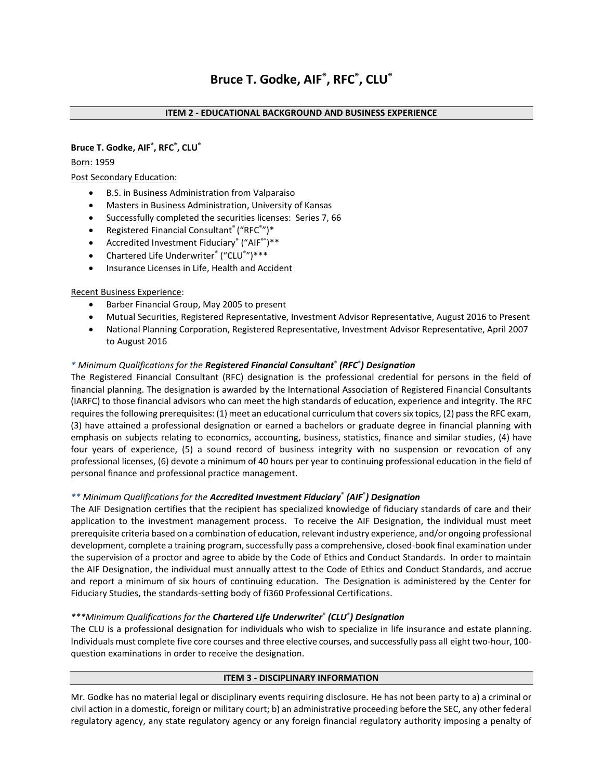# **Bruce T. Godke, AIF® , RFC® , CLU®**

# Born: 1959

# Post Secondary Education:

- B.S. in Business Administration from Valparaiso
- Masters in Business Administration, University of Kansas
- Successfully completed the securities licenses: Series 7, 66
- Registered Financial Consultant® ("RFC® ")\*
- Accredited Investment Fiduciary® ("AIF®")\*\*
- Chartered Life Underwriter<sup>®</sup> ("CLU<sup>®</sup>")\*\*\*
- Insurance Licenses in Life, Health and Accident

#### Recent Business Experience:

- Barber Financial Group, May 2005 to present
- Mutual Securities, Registered Representative, Investment Advisor Representative, August 2016 to Present
- National Planning Corporation, Registered Representative, Investment Advisor Representative, April 2007 to August 2016

# *\* Minimum Qualifications for the Registered Financial Consultant*® *(RFC*® *) Designation*

The Registered Financial Consultant (RFC) designation is the professional credential for persons in the field of financial planning. The designation is awarded by the International Association of Registered Financial Consultants (IARFC) to those financial advisors who can meet the high standards of education, experience and integrity. The RFC requires the following prerequisites: (1) meet an educational curriculum that covers six topics, (2) pass the RFC exam, (3) have attained a professional designation or earned a bachelors or graduate degree in financial planning with emphasis on subjects relating to economics, accounting, business, statistics, finance and similar studies, (4) have four years of experience, (5) a sound record of business integrity with no suspension or revocation of any professional licenses, (6) devote a minimum of 40 hours per year to continuing professional education in the field of personal finance and professional practice management.

#### *\*\* Minimum Qualifications for the Accredited Investment Fiduciary*® *(AIF*® *) Designation*

The AIF Designation certifies that the recipient has specialized knowledge of fiduciary standards of care and their application to the investment management process. To receive the AIF Designation, the individual must meet prerequisite criteria based on a combination of education, relevant industry experience, and/or ongoing professional development, complete a training program, successfully pass a comprehensive, closed-book final examination under the supervision of a proctor and agree to abide by the Code of Ethics and Conduct Standards. In order to maintain the AIF Designation, the individual must annually attest to the Code of Ethics and Conduct Standards, and accrue and report a minimum of six hours of continuing education. The Designation is administered by the Center for Fiduciary Studies, the standards-setting body of fi360 Professional Certifications.

# *\*\*\*Minimum Qualifications for the Chartered Life Underwriter*® *(CLU*® *) Designation*

The CLU is a professional designation for individuals who wish to specialize in life insurance and estate planning. Individuals must complete five cor[e courses](http://www.investopedia.com/terms/c/CLU.asp) and three elective courses, and successfully pass all eight two-hour, 100 question examinations in order to receive the designation.

#### **ITEM 3 - DISCIPLINARY INFORMATION**

Mr. Godke has no material legal or disciplinary events requiring disclosure. He has not been party to a) a criminal or civil action in a domestic, foreign or military court; b) an administrative proceeding before the SEC, any other federal regulatory agency, any state regulatory agency or any foreign financial regulatory authority imposing a penalty of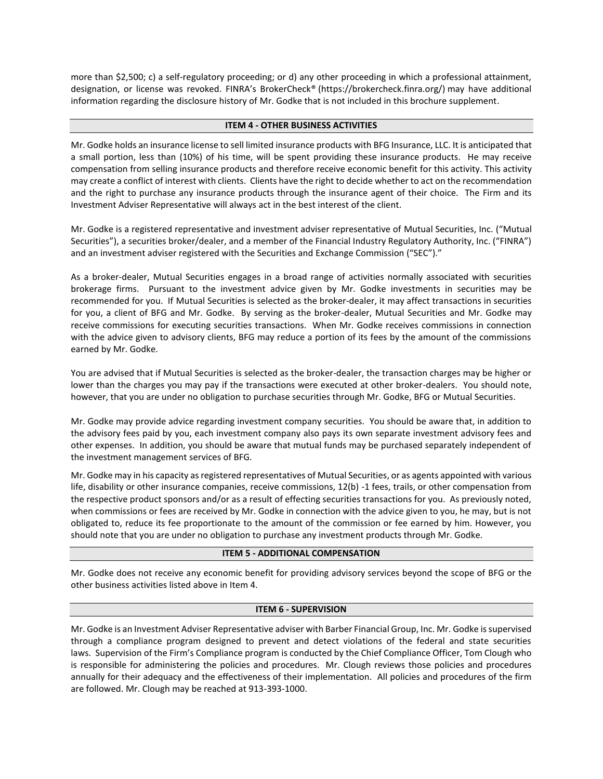more than \$2,500; c) a self-regulatory proceeding; or d) any other proceeding in which a professional attainment, designation, or license was revoked. FINRA's BrokerCheck® [\(https://brokercheck.finra.org/\)](https://brokercheck.finra.org/) may have additional information regarding the disclosure history of Mr. Godke that is not included in this brochure supplement.

# **ITEM 4 - OTHER BUSINESS ACTIVITIES**

Mr. Godke holds an insurance license to sell limited insurance products with BFG Insurance, LLC. It is anticipated that a small portion, less than (10%) of his time, will be spent providing these insurance products. He may receive compensation from selling insurance products and therefore receive economic benefit for this activity. This activity may create a conflict of interest with clients. Clients have the right to decide whether to act on the recommendation and the right to purchase any insurance products through the insurance agent of their choice. The Firm and its Investment Adviser Representative will always act in the best interest of the client.

Mr. Godke is a registered representative and investment adviser representative of Mutual Securities, Inc. ("Mutual Securities"), a securities broker/dealer, and a member of the Financial Industry Regulatory Authority, Inc. ("FINRA") and an investment adviser registered with the Securities and Exchange Commission ("SEC")."

As a broker-dealer, Mutual Securities engages in a broad range of activities normally associated with securities brokerage firms. Pursuant to the investment advice given by Mr. Godke investments in securities may be recommended for you. If Mutual Securities is selected as the broker-dealer, it may affect transactions in securities for you, a client of BFG and Mr. Godke. By serving as the broker-dealer, Mutual Securities and Mr. Godke may receive commissions for executing securities transactions. When Mr. Godke receives commissions in connection with the advice given to advisory clients, BFG may reduce a portion of its fees by the amount of the commissions earned by Mr. Godke.

You are advised that if Mutual Securities is selected as the broker-dealer, the transaction charges may be higher or lower than the charges you may pay if the transactions were executed at other broker-dealers. You should note, however, that you are under no obligation to purchase securities through Mr. Godke, BFG or Mutual Securities.

Mr. Godke may provide advice regarding investment company securities. You should be aware that, in addition to the advisory fees paid by you, each investment company also pays its own separate investment advisory fees and other expenses. In addition, you should be aware that mutual funds may be purchased separately independent of the investment management services of BFG.

Mr. Godke may in his capacity as registered representatives of Mutual Securities, or as agents appointed with various life, disability or other insurance companies, receive commissions, 12(b) -1 fees, trails, or other compensation from the respective product sponsors and/or as a result of effecting securities transactions for you. As previously noted, when commissions or fees are received by Mr. Godke in connection with the advice given to you, he may, but is not obligated to, reduce its fee proportionate to the amount of the commission or fee earned by him. However, you should note that you are under no obligation to purchase any investment products through Mr. Godke.

#### **ITEM 5 - ADDITIONAL COMPENSATION**

Mr. Godke does not receive any economic benefit for providing advisory services beyond the scope of BFG or the other business activities listed above in Item 4.

#### **ITEM 6 - SUPERVISION**

Mr. Godke is an Investment Adviser Representative adviser with Barber Financial Group, Inc. Mr. Godke is supervised through a compliance program designed to prevent and detect violations of the federal and state securities laws. Supervision of the Firm's Compliance program is conducted by the Chief Compliance Officer, Tom Clough who is responsible for administering the policies and procedures. Mr. Clough reviews those policies and procedures annually for their adequacy and the effectiveness of their implementation. All policies and procedures of the firm are followed. Mr. Clough may be reached at 913-393-1000.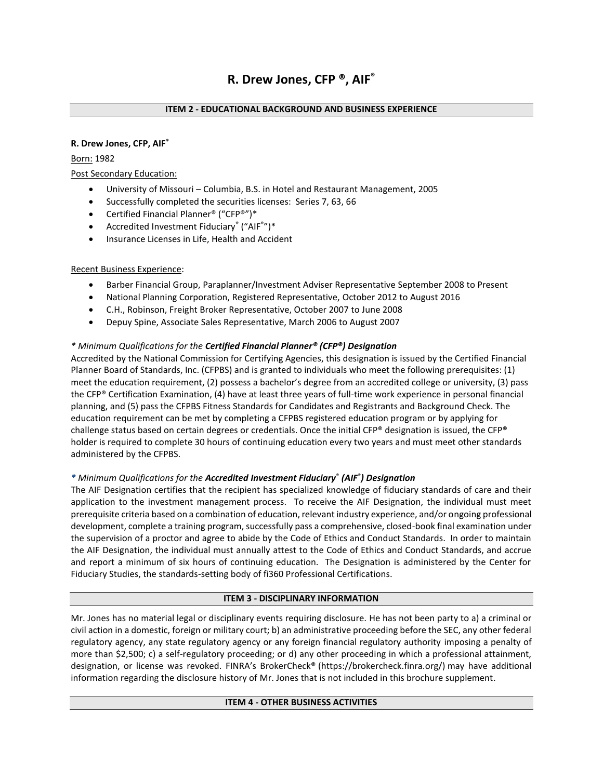# **R. Drew Jones, CFP, AIF®**

Born: 1982

Post Secondary Education:

- University of Missouri Columbia, B.S. in Hotel and Restaurant Management, 2005
- Successfully completed the securities licenses: Series 7, 63, 66
- Certified Financial Planner® ("CFP®")\*
- Accredited Investment Fiduciary® ("AIF®")\*
- Insurance Licenses in Life, Health and Accident

#### Recent Business Experience:

- Barber Financial Group, Paraplanner/Investment Adviser Representative September 2008 to Present
- National Planning Corporation, Registered Representative, October 2012 to August 2016
- C.H., Robinson, Freight Broker Representative, October 2007 to June 2008
- Depuy Spine, Associate Sales Representative, March 2006 to August 2007

#### *\* Minimum Qualifications for the Certified Financial Planner® (CFP®) Designation*

Accredited by the National Commission for Certifying Agencies, this designation is issued by the Certified Financial Planner Board of Standards, Inc. (CFPBS) and is granted to individuals who meet the following prerequisites: (1) meet the education requirement, (2) possess a bachelor's degree from an accredited college or university, (3) pass the CFP® Certification Examination, (4) have at least three years of full-time work experience in personal financial planning, and (5) pass the CFPBS Fitness Standards for Candidates and Registrants and Background Check. The education requirement can be met by completing a CFPBS registered education program or by applying for challenge status based on certain degrees or credentials. Once the initial CFP® designation is issued, the CFP® holder is required to complete 30 hours of continuing education every two years and must meet other standards administered by the CFPBS.

# *\* Minimum Qualifications for the Accredited Investment Fiduciary*® *(AIF*® *) Designation*

The AIF Designation certifies that the recipient has specialized knowledge of fiduciary standards of care and their application to the investment management process. To receive the AIF Designation, the individual must meet prerequisite criteria based on a combination of education, relevant industry experience, and/or ongoing professional development, complete a training program, successfully pass a comprehensive, closed-book final examination under the supervision of a proctor and agree to abide by the Code of Ethics and Conduct Standards. In order to maintain the AIF Designation, the individual must annually attest to the Code of Ethics and Conduct Standards, and accrue and report a minimum of six hours of continuing education. The Designation is administered by the Center for Fiduciary Studies, the standards-setting body of fi360 Professional Certifications.

#### **ITEM 3 - DISCIPLINARY INFORMATION**

Mr. Jones has no material legal or disciplinary events requiring disclosure. He has not been party to a) a criminal or civil action in a domestic, foreign or military court; b) an administrative proceeding before the SEC, any other federal regulatory agency, any state regulatory agency or any foreign financial regulatory authority imposing a penalty of more than \$2,500; c) a self-regulatory proceeding; or d) any other proceeding in which a professional attainment, designation, or license was revoked. FINRA's BrokerCheck® [\(https://brokercheck.finra.org/\)](https://brokercheck.finra.org/) may have additional information regarding the disclosure history of Mr. Jones that is not included in this brochure supplement.

#### **ITEM 4 - OTHER BUSINESS ACTIVITIES**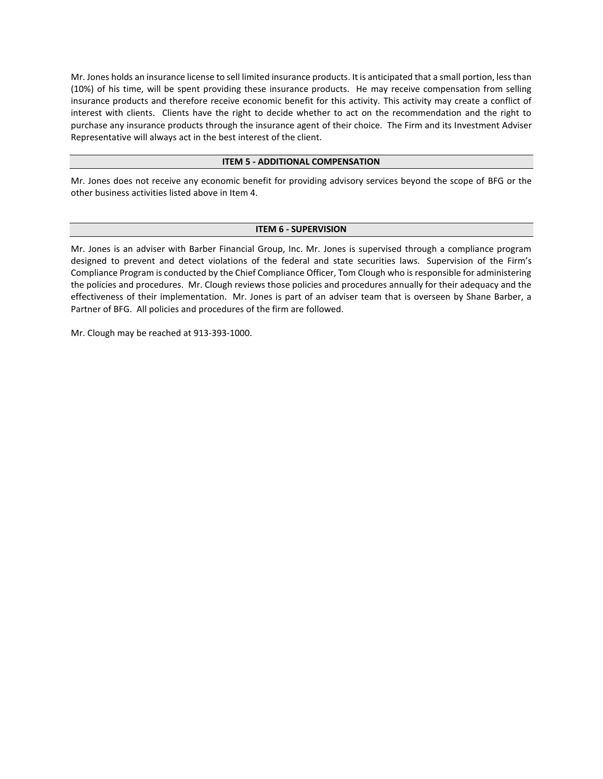Mr. Jones holds an insurance license to sell limited insurance products. It is anticipated that a small portion, less than (10%) of his time, will be spent providing these insurance products. He may receive compensation from selling insurance products and therefore receive economic benefit for this activity. This activity may create a conflict of interest with clients. Clients have the right to decide whether to act on the recommendation and the right to purchase any insurance products through the insurance agent of their choice. The Firm and its Investment Adviser Representative will always act in the best interest of the client.

#### **ITEM 5 - ADDITIONAL COMPENSATION**

Mr. Jones does not receive any economic benefit for providing advisory services beyond the scope of BFG or the other business activities listed above in Item 4.

#### **ITEM 6 - SUPERVISION**

Mr. Jones is an adviser with Barber Financial Group, Inc. Mr. Jones is supervised through a compliance program designed to prevent and detect violations of the federal and state securities laws. Supervision of the Firm's Compliance Program is conducted by the Chief Compliance Officer, Tom Clough who is responsible for administering the policies and procedures. Mr. Clough reviews those policies and procedures annually for their adequacy and the effectiveness of their implementation. Mr. Jones is part of an adviser team that is overseen by Shane Barber, a Partner of BFG. All policies and procedures of the firm are followed.

Mr. Clough may be reached at 913-393-1000.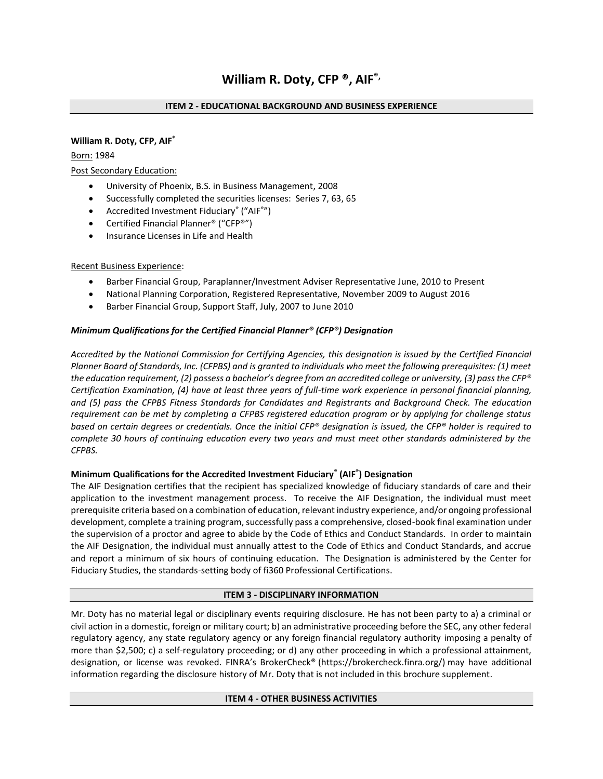#### **William R. Doty, CFP, AIF®**

Born: 1984

# Post Secondary Education:

- University of Phoenix, B.S. in Business Management, 2008
- Successfully completed the securities licenses: Series 7, 63, 65
- Accredited Investment Fiduciary® ("AIF®")
- Certified Financial Planner® ("CFP®")
- Insurance Licenses in Life and Health

# Recent Business Experience:

- Barber Financial Group, Paraplanner/Investment Adviser Representative June, 2010 to Present
- National Planning Corporation, Registered Representative, November 2009 to August 2016
- Barber Financial Group, Support Staff, July, 2007 to June 2010

# *Minimum Qualifications for the Certified Financial Planner® (CFP®) Designation*

*Accredited by the National Commission for Certifying Agencies, this designation is issued by the Certified Financial Planner Board of Standards, Inc. (CFPBS) and is granted to individuals who meet the following prerequisites: (1) meet the education requirement, (2) possess a bachelor's degree from an accredited college or university, (3) pass the CFP® Certification Examination, (4) have at least three years of full-time work experience in personal financial planning, and (5) pass the CFPBS Fitness Standards for Candidates and Registrants and Background Check. The education requirement can be met by completing a CFPBS registered education program or by applying for challenge status based on certain degrees or credentials. Once the initial CFP® designation is issued, the CFP® holder is required to complete 30 hours of continuing education every two years and must meet other standards administered by the CFPBS.*

# **Minimum Qualifications for the Accredited Investment Fiduciary® (AIF® ) Designation**

The AIF Designation certifies that the recipient has specialized knowledge of fiduciary standards of care and their application to the investment management process. To receive the AIF Designation, the individual must meet prerequisite criteria based on a combination of education, relevant industry experience, and/or ongoing professional development, complete a training program, successfully pass a comprehensive, closed-book final examination under the supervision of a proctor and agree to abide by the Code of Ethics and Conduct Standards. In order to maintain the AIF Designation, the individual must annually attest to the Code of Ethics and Conduct Standards, and accrue and report a minimum of six hours of continuing education. The Designation is administered by the Center for Fiduciary Studies, the standards-setting body of fi360 Professional Certifications.

#### **ITEM 3 - DISCIPLINARY INFORMATION**

Mr. Doty has no material legal or disciplinary events requiring disclosure. He has not been party to a) a criminal or civil action in a domestic, foreign or military court; b) an administrative proceeding before the SEC, any other federal regulatory agency, any state regulatory agency or any foreign financial regulatory authority imposing a penalty of more than \$2,500; c) a self-regulatory proceeding; or d) any other proceeding in which a professional attainment, designation, or license was revoked. FINRA's BrokerCheck® [\(https://brokercheck.finra.org/\)](https://brokercheck.finra.org/) may have additional information regarding the disclosure history of Mr. Doty that is not included in this brochure supplement.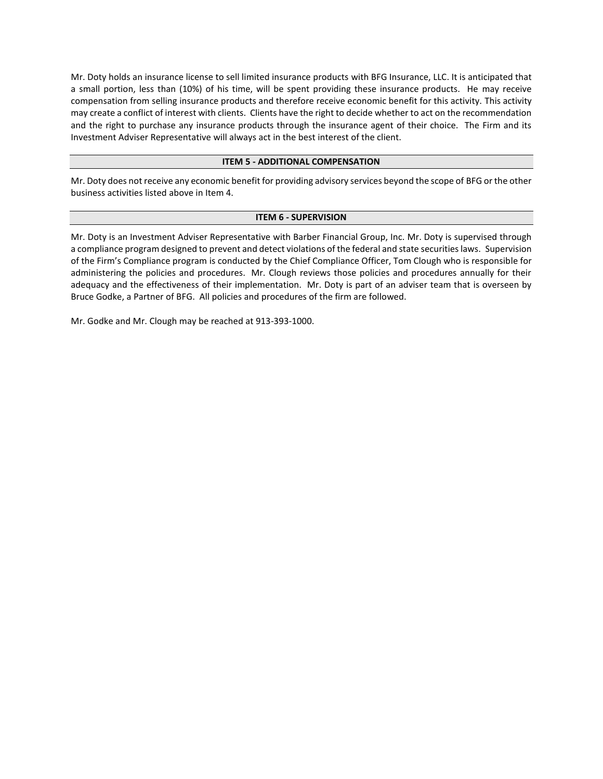Mr. Doty holds an insurance license to sell limited insurance products with BFG Insurance, LLC. It is anticipated that a small portion, less than (10%) of his time, will be spent providing these insurance products. He may receive compensation from selling insurance products and therefore receive economic benefit for this activity. This activity may create a conflict of interest with clients. Clients have the right to decide whether to act on the recommendation and the right to purchase any insurance products through the insurance agent of their choice. The Firm and its Investment Adviser Representative will always act in the best interest of the client.

#### **ITEM 5 - ADDITIONAL COMPENSATION**

Mr. Doty does not receive any economic benefit for providing advisory services beyond the scope of BFG or the other business activities listed above in Item 4.

#### **ITEM 6 - SUPERVISION**

Mr. Doty is an Investment Adviser Representative with Barber Financial Group, Inc. Mr. Doty is supervised through a compliance program designed to prevent and detect violations of the federal and state securities laws. Supervision of the Firm's Compliance program is conducted by the Chief Compliance Officer, Tom Clough who is responsible for administering the policies and procedures. Mr. Clough reviews those policies and procedures annually for their adequacy and the effectiveness of their implementation. Mr. Doty is part of an adviser team that is overseen by Bruce Godke, a Partner of BFG. All policies and procedures of the firm are followed.

Mr. Godke and Mr. Clough may be reached at 913-393-1000.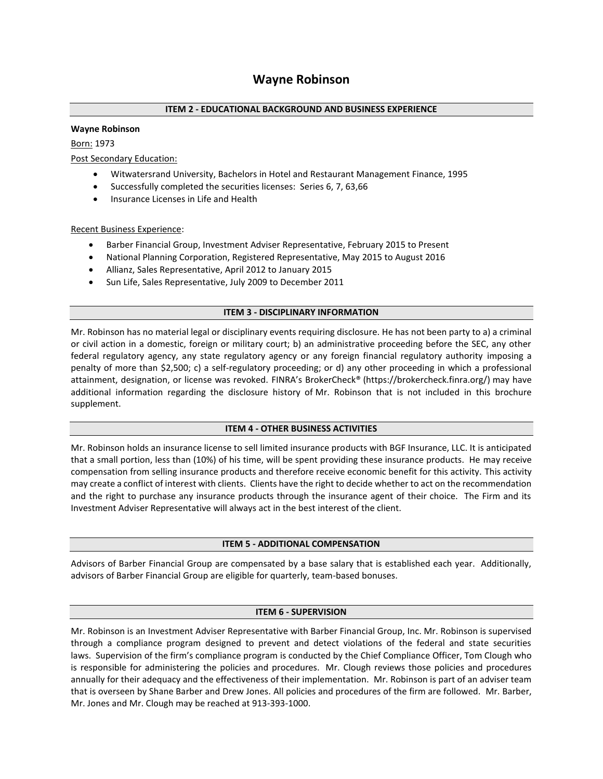#### **Wayne Robinson**

#### Born: 1973

Post Secondary Education:

- Witwatersrand University, Bachelors in Hotel and Restaurant Management Finance, 1995
- Successfully completed the securities licenses: Series 6, 7, 63,66
- Insurance Licenses in Life and Health

#### Recent Business Experience:

- Barber Financial Group, Investment Adviser Representative, February 2015 to Present
- National Planning Corporation, Registered Representative, May 2015 to August 2016
- Allianz, Sales Representative, April 2012 to January 2015
- Sun Life, Sales Representative, July 2009 to December 2011

#### **ITEM 3 - DISCIPLINARY INFORMATION**

Mr. Robinson has no material legal or disciplinary events requiring disclosure. He has not been party to a) a criminal or civil action in a domestic, foreign or military court; b) an administrative proceeding before the SEC, any other federal regulatory agency, any state regulatory agency or any foreign financial regulatory authority imposing a penalty of more than \$2,500; c) a self-regulatory proceeding; or d) any other proceeding in which a professional attainment, designation, or license was revoked. FINRA's BrokerCheck® [\(https://brokercheck.finra.org/\)](https://brokercheck.finra.org/) may have additional information regarding the disclosure history of Mr. Robinson that is not included in this brochure supplement.

#### **ITEM 4 - OTHER BUSINESS ACTIVITIES**

Mr. Robinson holds an insurance license to sell limited insurance products with BGF Insurance, LLC. It is anticipated that a small portion, less than (10%) of his time, will be spent providing these insurance products. He may receive compensation from selling insurance products and therefore receive economic benefit for this activity. This activity may create a conflict of interest with clients. Clients have the right to decide whether to act on the recommendation and the right to purchase any insurance products through the insurance agent of their choice. The Firm and its Investment Adviser Representative will always act in the best interest of the client.

#### **ITEM 5 - ADDITIONAL COMPENSATION**

Advisors of Barber Financial Group are compensated by a base salary that is established each year. Additionally, advisors of Barber Financial Group are eligible for quarterly, team-based bonuses.

#### **ITEM 6 - SUPERVISION**

Mr. Robinson is an Investment Adviser Representative with Barber Financial Group, Inc. Mr. Robinson is supervised through a compliance program designed to prevent and detect violations of the federal and state securities laws. Supervision of the firm's compliance program is conducted by the Chief Compliance Officer, Tom Clough who is responsible for administering the policies and procedures. Mr. Clough reviews those policies and procedures annually for their adequacy and the effectiveness of their implementation. Mr. Robinson is part of an adviser team that is overseen by Shane Barber and Drew Jones. All policies and procedures of the firm are followed. Mr. Barber, Mr. Jones and Mr. Clough may be reached at 913-393-1000.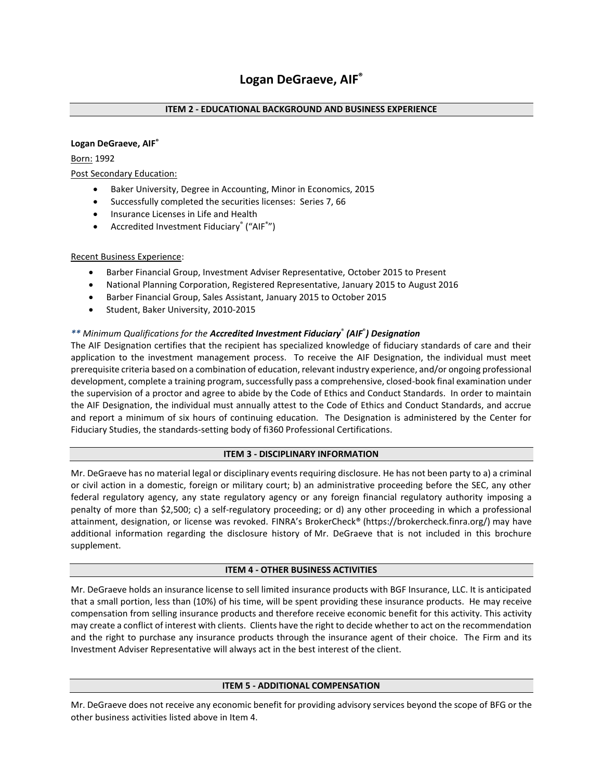#### **Logan DeGraeve, AIF®**

Born: 1992

Post Secondary Education:

- Baker University, Degree in Accounting, Minor in Economics, 2015
- Successfully completed the securities licenses: Series 7, 66
- Insurance Licenses in Life and Health
- Accredited Investment Fiduciary® ("AIF®")

#### Recent Business Experience:

- Barber Financial Group, Investment Adviser Representative, October 2015 to Present
- National Planning Corporation, Registered Representative, January 2015 to August 2016
- Barber Financial Group, Sales Assistant, January 2015 to October 2015
- Student, Baker University, 2010-2015

# *\*\* Minimum Qualifications for the Accredited Investment Fiduciary*® *(AIF*® *) Designation*

The AIF Designation certifies that the recipient has specialized knowledge of fiduciary standards of care and their application to the investment management process. To receive the AIF Designation, the individual must meet prerequisite criteria based on a combination of education, relevant industry experience, and/or ongoing professional development, complete a training program, successfully pass a comprehensive, closed-book final examination under the supervision of a proctor and agree to abide by the Code of Ethics and Conduct Standards. In order to maintain the AIF Designation, the individual must annually attest to the Code of Ethics and Conduct Standards, and accrue and report a minimum of six hours of continuing education. The Designation is administered by the Center for Fiduciary Studies, the standards-setting body of fi360 Professional Certifications.

#### **ITEM 3 - DISCIPLINARY INFORMATION**

Mr. DeGraeve has no material legal or disciplinary events requiring disclosure. He has not been party to a) a criminal or civil action in a domestic, foreign or military court; b) an administrative proceeding before the SEC, any other federal regulatory agency, any state regulatory agency or any foreign financial regulatory authority imposing a penalty of more than \$2,500; c) a self-regulatory proceeding; or d) any other proceeding in which a professional attainment, designation, or license was revoked. FINRA's BrokerCheck® [\(https://brokercheck.finra.org/\)](https://brokercheck.finra.org/) may have additional information regarding the disclosure history of Mr. DeGraeve that is not included in this brochure supplement.

#### **ITEM 4 - OTHER BUSINESS ACTIVITIES**

Mr. DeGraeve holds an insurance license to sell limited insurance products with BGF Insurance, LLC. It is anticipated that a small portion, less than (10%) of his time, will be spent providing these insurance products. He may receive compensation from selling insurance products and therefore receive economic benefit for this activity. This activity may create a conflict of interest with clients. Clients have the right to decide whether to act on the recommendation and the right to purchase any insurance products through the insurance agent of their choice. The Firm and its Investment Adviser Representative will always act in the best interest of the client.

#### **ITEM 5 - ADDITIONAL COMPENSATION**

Mr. DeGraeve does not receive any economic benefit for providing advisory services beyond the scope of BFG or the other business activities listed above in Item 4.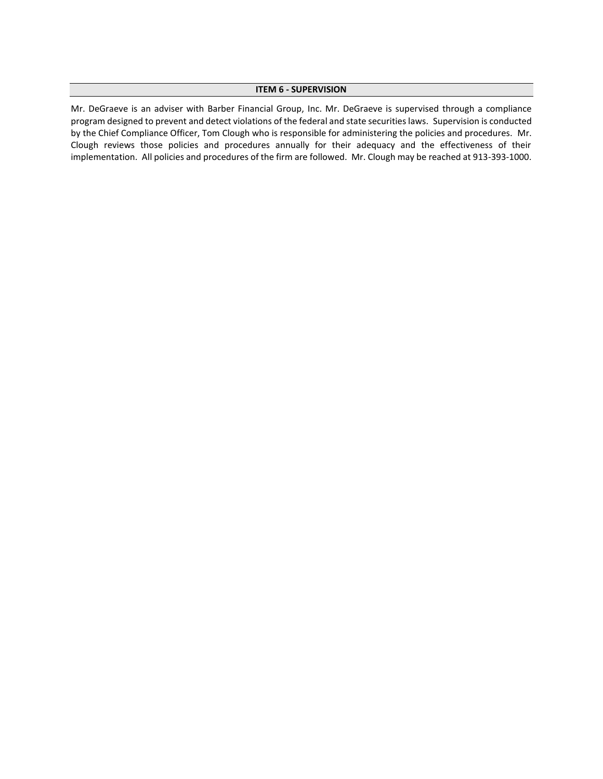#### **ITEM 6 - SUPERVISION**

Mr. DeGraeve is an adviser with Barber Financial Group, Inc. Mr. DeGraeve is supervised through a compliance program designed to prevent and detect violations of the federal and state securities laws. Supervision is conducted by the Chief Compliance Officer, Tom Clough who is responsible for administering the policies and procedures. Mr. Clough reviews those policies and procedures annually for their adequacy and the effectiveness of their implementation. All policies and procedures of the firm are followed. Mr. Clough may be reached at 913-393-1000.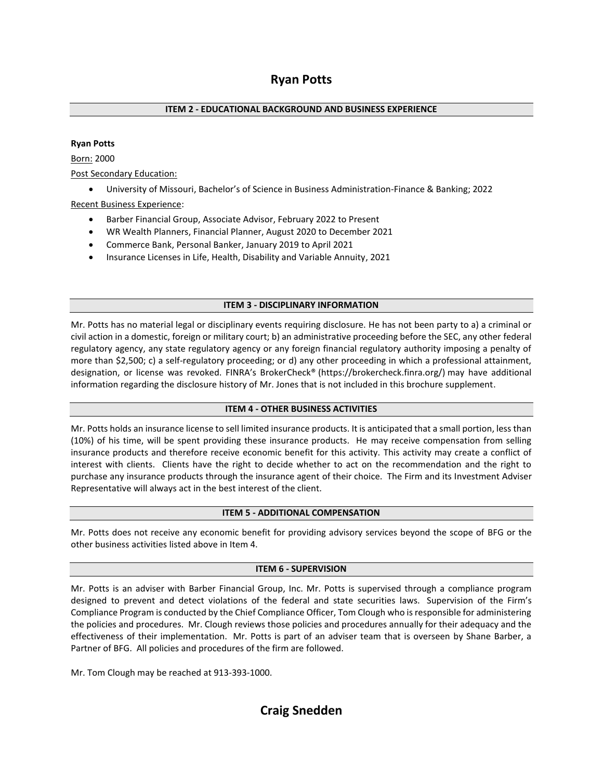# **Ryan Potts**

# **ITEM 2 - EDUCATIONAL BACKGROUND AND BUSINESS EXPERIENCE**

#### **Ryan Potts**

Born: 2000

Post Secondary Education:

• University of Missouri, Bachelor's of Science in Business Administration-Finance & Banking; 2022

Recent Business Experience:

- Barber Financial Group, Associate Advisor, February 2022 to Present
- WR Wealth Planners, Financial Planner, August 2020 to December 2021
- Commerce Bank, Personal Banker, January 2019 to April 2021
- Insurance Licenses in Life, Health, Disability and Variable Annuity, 2021

# **ITEM 3 - DISCIPLINARY INFORMATION**

Mr. Potts has no material legal or disciplinary events requiring disclosure. He has not been party to a) a criminal or civil action in a domestic, foreign or military court; b) an administrative proceeding before the SEC, any other federal regulatory agency, any state regulatory agency or any foreign financial regulatory authority imposing a penalty of more than \$2,500; c) a self-regulatory proceeding; or d) any other proceeding in which a professional attainment, designation, or license was revoked. FINRA's BrokerCheck® [\(https://brokercheck.finra.org/\)](https://brokercheck.finra.org/) may have additional information regarding the disclosure history of Mr. Jones that is not included in this brochure supplement.

#### **ITEM 4 - OTHER BUSINESS ACTIVITIES**

Mr. Potts holds an insurance license to sell limited insurance products. It is anticipated that a small portion, less than (10%) of his time, will be spent providing these insurance products. He may receive compensation from selling insurance products and therefore receive economic benefit for this activity. This activity may create a conflict of interest with clients. Clients have the right to decide whether to act on the recommendation and the right to purchase any insurance products through the insurance agent of their choice. The Firm and its Investment Adviser Representative will always act in the best interest of the client.

#### **ITEM 5 - ADDITIONAL COMPENSATION**

Mr. Potts does not receive any economic benefit for providing advisory services beyond the scope of BFG or the other business activities listed above in Item 4.

#### **ITEM 6 - SUPERVISION**

Mr. Potts is an adviser with Barber Financial Group, Inc. Mr. Potts is supervised through a compliance program designed to prevent and detect violations of the federal and state securities laws. Supervision of the Firm's Compliance Program is conducted by the Chief Compliance Officer, Tom Clough who is responsible for administering the policies and procedures. Mr. Clough reviews those policies and procedures annually for their adequacy and the effectiveness of their implementation. Mr. Potts is part of an adviser team that is overseen by Shane Barber, a Partner of BFG. All policies and procedures of the firm are followed.

Mr. Tom Clough may be reached at 913-393-1000.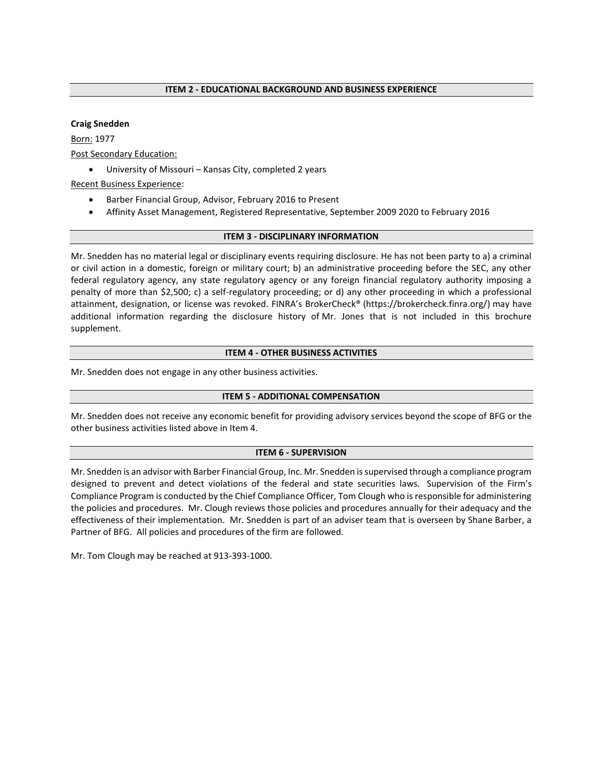#### **Craig Snedden**

Born: 1977 Post Secondary Education:

• University of Missouri – Kansas City, completed 2 years

Recent Business Experience:

- Barber Financial Group, Advisor, February 2016 to Present
- Affinity Asset Management, Registered Representative, September 2009 2020 to February 2016

#### **ITEM 3 - DISCIPLINARY INFORMATION**

Mr. Snedden has no material legal or disciplinary events requiring disclosure. He has not been party to a) a criminal or civil action in a domestic, foreign or military court; b) an administrative proceeding before the SEC, any other federal regulatory agency, any state regulatory agency or any foreign financial regulatory authority imposing a penalty of more than \$2,500; c) a self-regulatory proceeding; or d) any other proceeding in which a professional attainment, designation, or license was revoked. FINRA's BrokerCheck® [\(https://brokercheck.finra.org/\)](https://brokercheck.finra.org/) may have additional information regarding the disclosure history of Mr. Jones that is not included in this brochure supplement.

#### **ITEM 4 - OTHER BUSINESS ACTIVITIES**

Mr. Snedden does not engage in any other business activities.

#### **ITEM 5 - ADDITIONAL COMPENSATION**

Mr. Snedden does not receive any economic benefit for providing advisory services beyond the scope of BFG or the other business activities listed above in Item 4.

#### **ITEM 6 - SUPERVISION**

Mr. Snedden is an advisor with Barber Financial Group, Inc. Mr. Snedden is supervised through a compliance program designed to prevent and detect violations of the federal and state securities laws. Supervision of the Firm's Compliance Program is conducted by the Chief Compliance Officer, Tom Clough who is responsible for administering the policies and procedures. Mr. Clough reviews those policies and procedures annually for their adequacy and the effectiveness of their implementation. Mr. Snedden is part of an adviser team that is overseen by Shane Barber, a Partner of BFG. All policies and procedures of the firm are followed.

Mr. Tom Clough may be reached at 913-393-1000.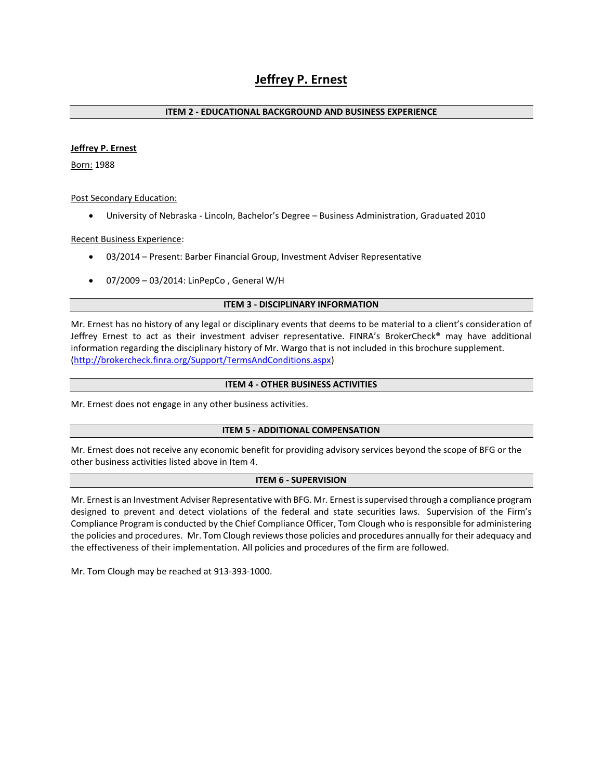# **Jeffrey P. Ernest**

#### **ITEM 2 - EDUCATIONAL BACKGROUND AND BUSINESS EXPERIENCE**

#### **Jeffrey P. Ernest**

Born: 1988

Post Secondary Education:

• University of Nebraska - Lincoln, Bachelor's Degree – Business Administration, Graduated 2010

Recent Business Experience:

- 03/2014 Present: Barber Financial Group, Investment Adviser Representative
- 07/2009 03/2014: LinPepCo , General W/H

#### **ITEM 3 - DISCIPLINARY INFORMATION**

Mr. Ernest has no history of any legal or disciplinary events that deems to be material to a client's consideration of Jeffrey Ernest to act as their investment adviser representative. FINRA's BrokerCheck® may have additional information regarding the disciplinary history of Mr. Wargo that is not included in this brochure supplement. [\(http://brokercheck.finra.org/Support/TermsAndConditions.aspx\)](http://brokercheck.finra.org/Support/TermsAndConditions.aspx)

#### **ITEM 4 - OTHER BUSINESS ACTIVITIES**

Mr. Ernest does not engage in any other business activities.

#### **ITEM 5 - ADDITIONAL COMPENSATION**

Mr. Ernest does not receive any economic benefit for providing advisory services beyond the scope of BFG or the other business activities listed above in Item 4.

#### **ITEM 6 - SUPERVISION**

Mr. Ernest is an Investment Adviser Representative with BFG. Mr. Ernest is supervised through a compliance program designed to prevent and detect violations of the federal and state securities laws. Supervision of the Firm's Compliance Program is conducted by the Chief Compliance Officer, Tom Clough who is responsible for administering the policies and procedures. Mr. Tom Clough reviews those policies and procedures annually for their adequacy and the effectiveness of their implementation. All policies and procedures of the firm are followed.

Mr. Tom Clough may be reached at 913-393-1000.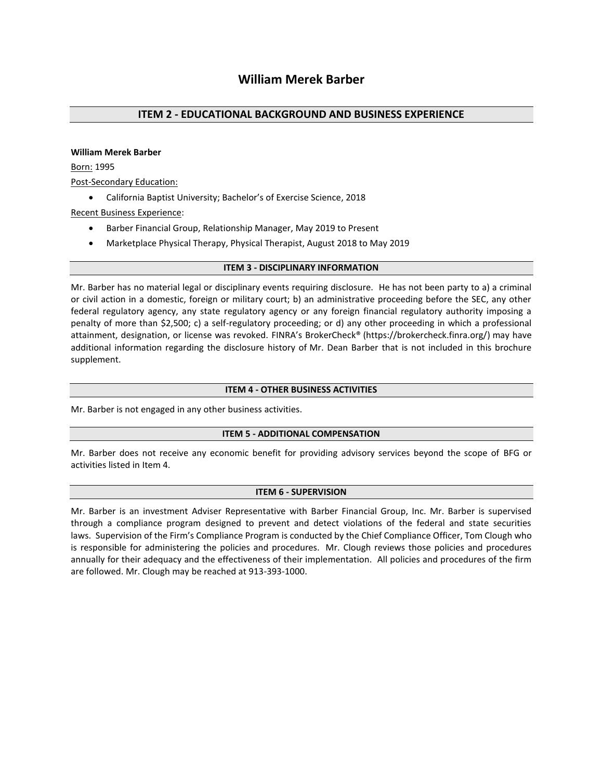#### **William Merek Barber**

Born: 1995

Post-Secondary Education:

• California Baptist University; Bachelor's of Exercise Science, 2018

Recent Business Experience:

- Barber Financial Group, Relationship Manager, May 2019 to Present
- Marketplace Physical Therapy, Physical Therapist, August 2018 to May 2019

#### **ITEM 3 - DISCIPLINARY INFORMATION**

Mr. Barber has no material legal or disciplinary events requiring disclosure. He has not been party to a) a criminal or civil action in a domestic, foreign or military court; b) an administrative proceeding before the SEC, any other federal regulatory agency, any state regulatory agency or any foreign financial regulatory authority imposing a penalty of more than \$2,500; c) a self-regulatory proceeding; or d) any other proceeding in which a professional attainment, designation, or license was revoked. FINRA's BrokerCheck® [\(https://brokercheck.finra.org/\)](https://brokercheck.finra.org/) may have additional information regarding the disclosure history of Mr. Dean Barber that is not included in this brochure supplement.

# **ITEM 4 - OTHER BUSINESS ACTIVITIES**

Mr. Barber is not engaged in any other business activities.

#### **ITEM 5 - ADDITIONAL COMPENSATION**

Mr. Barber does not receive any economic benefit for providing advisory services beyond the scope of BFG or activities listed in Item 4.

#### **ITEM 6 - SUPERVISION**

Mr. Barber is an investment Adviser Representative with Barber Financial Group, Inc. Mr. Barber is supervised through a compliance program designed to prevent and detect violations of the federal and state securities laws. Supervision of the Firm's Compliance Program is conducted by the Chief Compliance Officer, Tom Clough who is responsible for administering the policies and procedures. Mr. Clough reviews those policies and procedures annually for their adequacy and the effectiveness of their implementation. All policies and procedures of the firm are followed. Mr. Clough may be reached at 913-393-1000.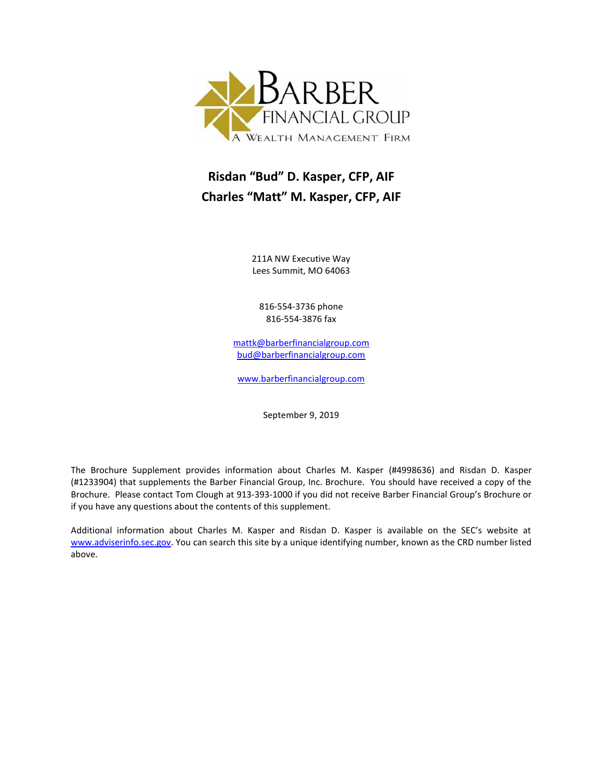

# **Risdan "Bud" D. Kasper, CFP, AIF Charles "Matt" M. Kasper, CFP, AIF**

211A NW Executive Way Lees Summit, MO 64063

816-554-3736 phone 816-554-3876 fax

[mattk@barberfinancialgroup.com](mailto:mattk@barberfinancialgroup.com) [bud@barberfinancialgroup.com](mailto:bud@barberfinancialgroup.com)

[www.barberfinancialgroup.com](http://www.barberfinancialgroup.com/)

September 9, 2019

The Brochure Supplement provides information about Charles M. Kasper (#4998636) and Risdan D. Kasper (#1233904) that supplements the Barber Financial Group, Inc. Brochure. You should have received a copy of the Brochure. Please contact Tom Clough at 913-393-1000 if you did not receive Barber Financial Group's Brochure or if you have any questions about the contents of this supplement.

Additional information about Charles M. Kasper and Risdan D. Kasper is available on the SEC's website at [www.adviserinfo.sec.gov.](http://www.adviserinfo.sec.gov/) You can search this site by a unique identifying number, known as the CRD number listed above.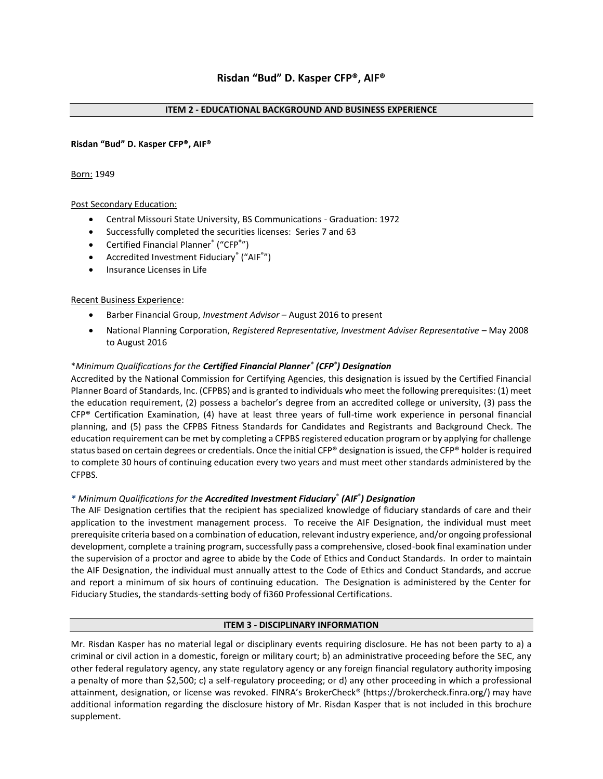#### **Risdan "Bud" D. Kasper CFP®, AIF®**

#### Born: 1949

#### Post Secondary Education:

- Central Missouri State University, BS Communications Graduation: 1972
- Successfully completed the securities licenses: Series 7 and 63
- Certified Financial Planner® ("CFP**®** ")
- Accredited Investment Fiduciary® ("AIF®")
- Insurance Licenses in Life

#### Recent Business Experience:

- Barber Financial Group, *Investment Advisor* August 2016 to present
- National Planning Corporation, *Registered Representative, Investment Adviser Representative* May 2008 to August 2016

#### \**Minimum Qualifications for the Certified Financial Planner® (CFP® ) Designation*

Accredited by the National Commission for Certifying Agencies, this designation is issued by the Certified Financial Planner Board of Standards, Inc. (CFPBS) and is granted to individuals who meet the following prerequisites: (1) meet the education requirement, (2) possess a bachelor's degree from an accredited college or university, (3) pass the CFP® Certification Examination, (4) have at least three years of full-time work experience in personal financial planning, and (5) pass the CFPBS Fitness Standards for Candidates and Registrants and Background Check. The education requirement can be met by completing a CFPBS registered education program or by applying for challenge status based on certain degrees or credentials. Once the initial CFP® designation is issued, the CFP® holder is required to complete 30 hours of continuing education every two years and must meet other standards administered by the CFPBS.

#### *\* Minimum Qualifications for the Accredited Investment Fiduciary*® *(AIF*® *) Designation*

The AIF Designation certifies that the recipient has specialized knowledge of fiduciary standards of care and their application to the investment management process. To receive the AIF Designation, the individual must meet prerequisite criteria based on a combination of education, relevant industry experience, and/or ongoing professional development, complete a training program, successfully pass a comprehensive, closed-book final examination under the supervision of a proctor and agree to abide by the Code of Ethics and Conduct Standards. In order to maintain the AIF Designation, the individual must annually attest to the Code of Ethics and Conduct Standards, and accrue and report a minimum of six hours of continuing education. The Designation is administered by the Center for Fiduciary Studies, the standards-setting body of fi360 Professional Certifications.

#### **ITEM 3 - DISCIPLINARY INFORMATION**

Mr. Risdan Kasper has no material legal or disciplinary events requiring disclosure. He has not been party to a) a criminal or civil action in a domestic, foreign or military court; b) an administrative proceeding before the SEC, any other federal regulatory agency, any state regulatory agency or any foreign financial regulatory authority imposing a penalty of more than \$2,500; c) a self-regulatory proceeding; or d) any other proceeding in which a professional attainment, designation, or license was revoked. FINRA's BrokerCheck® [\(https://brokercheck.finra.org/\)](https://brokercheck.finra.org/) may have additional information regarding the disclosure history of Mr. Risdan Kasper that is not included in this brochure supplement.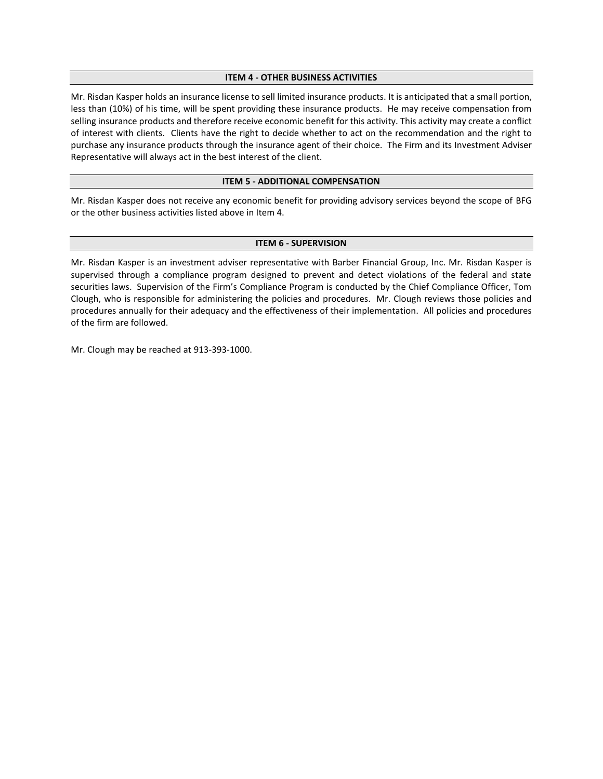#### **ITEM 4 - OTHER BUSINESS ACTIVITIES**

Mr. Risdan Kasper holds an insurance license to sell limited insurance products. It is anticipated that a small portion, less than (10%) of his time, will be spent providing these insurance products. He may receive compensation from selling insurance products and therefore receive economic benefit for this activity. This activity may create a conflict of interest with clients. Clients have the right to decide whether to act on the recommendation and the right to purchase any insurance products through the insurance agent of their choice. The Firm and its Investment Adviser Representative will always act in the best interest of the client.

#### **ITEM 5 - ADDITIONAL COMPENSATION**

Mr. Risdan Kasper does not receive any economic benefit for providing advisory services beyond the scope of BFG or the other business activities listed above in Item 4.

#### **ITEM 6 - SUPERVISION**

Mr. Risdan Kasper is an investment adviser representative with Barber Financial Group, Inc. Mr. Risdan Kasper is supervised through a compliance program designed to prevent and detect violations of the federal and state securities laws. Supervision of the Firm's Compliance Program is conducted by the Chief Compliance Officer, Tom Clough, who is responsible for administering the policies and procedures. Mr. Clough reviews those policies and procedures annually for their adequacy and the effectiveness of their implementation. All policies and procedures of the firm are followed.

Mr. Clough may be reached at 913-393-1000.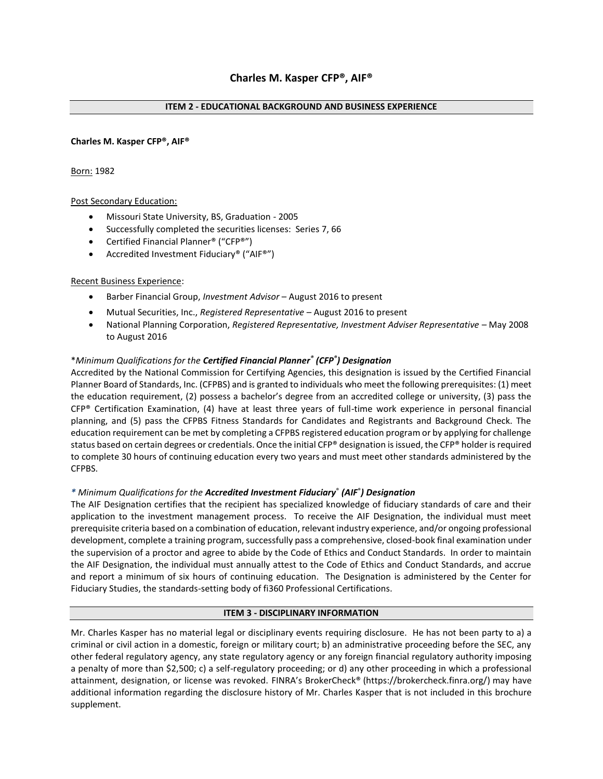#### **Charles M. Kasper CFP®, AIF®**

#### Born: 1982

# Post Secondary Education:

- Missouri State University, BS, Graduation 2005
- Successfully completed the securities licenses: Series 7, 66
- Certified Financial Planner® ("CFP®")
- Accredited Investment Fiduciary® ("AIF®")

#### Recent Business Experience:

- Barber Financial Group, *Investment Advisor* August 2016 to present
- Mutual Securities, Inc., *Registered Representative*  August 2016 to present
- National Planning Corporation, *Registered Representative, Investment Adviser Representative* May 2008 to August 2016

# \**Minimum Qualifications for the Certified Financial Planner® (CFP® ) Designation*

Accredited by the National Commission for Certifying Agencies, this designation is issued by the Certified Financial Planner Board of Standards, Inc. (CFPBS) and is granted to individuals who meet the following prerequisites: (1) meet the education requirement, (2) possess a bachelor's degree from an accredited college or university, (3) pass the CFP® Certification Examination, (4) have at least three years of full-time work experience in personal financial planning, and (5) pass the CFPBS Fitness Standards for Candidates and Registrants and Background Check. The education requirement can be met by completing a CFPBS registered education program or by applying for challenge status based on certain degrees or credentials. Once the initial CFP® designation is issued, the CFP® holder is required to complete 30 hours of continuing education every two years and must meet other standards administered by the CFPBS.

#### *\* Minimum Qualifications for the Accredited Investment Fiduciary*® *(AIF*® *) Designation*

The AIF Designation certifies that the recipient has specialized knowledge of fiduciary standards of care and their application to the investment management process. To receive the AIF Designation, the individual must meet prerequisite criteria based on a combination of education, relevant industry experience, and/or ongoing professional development, complete a training program, successfully pass a comprehensive, closed-book final examination under the supervision of a proctor and agree to abide by the Code of Ethics and Conduct Standards. In order to maintain the AIF Designation, the individual must annually attest to the Code of Ethics and Conduct Standards, and accrue and report a minimum of six hours of continuing education. The Designation is administered by the Center for Fiduciary Studies, the standards-setting body of fi360 Professional Certifications.

#### **ITEM 3 - DISCIPLINARY INFORMATION**

Mr. Charles Kasper has no material legal or disciplinary events requiring disclosure. He has not been party to a) a criminal or civil action in a domestic, foreign or military court; b) an administrative proceeding before the SEC, any other federal regulatory agency, any state regulatory agency or any foreign financial regulatory authority imposing a penalty of more than \$2,500; c) a self-regulatory proceeding; or d) any other proceeding in which a professional attainment, designation, or license was revoked. FINRA's BrokerCheck® [\(https://brokercheck.finra.org/\)](https://brokercheck.finra.org/) may have additional information regarding the disclosure history of Mr. Charles Kasper that is not included in this brochure supplement.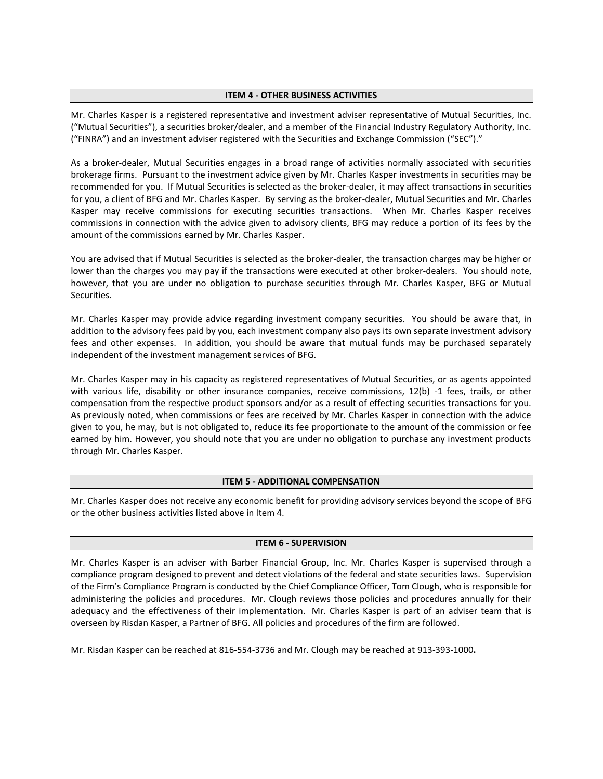#### **ITEM 4 - OTHER BUSINESS ACTIVITIES**

Mr. Charles Kasper is a registered representative and investment adviser representative of Mutual Securities, Inc. ("Mutual Securities"), a securities broker/dealer, and a member of the Financial Industry Regulatory Authority, Inc. ("FINRA") and an investment adviser registered with the Securities and Exchange Commission ("SEC")."

As a broker-dealer, Mutual Securities engages in a broad range of activities normally associated with securities brokerage firms. Pursuant to the investment advice given by Mr. Charles Kasper investments in securities may be recommended for you. If Mutual Securities is selected as the broker-dealer, it may affect transactions in securities for you, a client of BFG and Mr. Charles Kasper. By serving as the broker-dealer, Mutual Securities and Mr. Charles Kasper may receive commissions for executing securities transactions. When Mr. Charles Kasper receives commissions in connection with the advice given to advisory clients, BFG may reduce a portion of its fees by the amount of the commissions earned by Mr. Charles Kasper.

You are advised that if Mutual Securities is selected as the broker-dealer, the transaction charges may be higher or lower than the charges you may pay if the transactions were executed at other broker-dealers. You should note, however, that you are under no obligation to purchase securities through Mr. Charles Kasper, BFG or Mutual Securities.

Mr. Charles Kasper may provide advice regarding investment company securities. You should be aware that, in addition to the advisory fees paid by you, each investment company also pays its own separate investment advisory fees and other expenses. In addition, you should be aware that mutual funds may be purchased separately independent of the investment management services of BFG.

Mr. Charles Kasper may in his capacity as registered representatives of Mutual Securities, or as agents appointed with various life, disability or other insurance companies, receive commissions, 12(b) -1 fees, trails, or other compensation from the respective product sponsors and/or as a result of effecting securities transactions for you. As previously noted, when commissions or fees are received by Mr. Charles Kasper in connection with the advice given to you, he may, but is not obligated to, reduce its fee proportionate to the amount of the commission or fee earned by him. However, you should note that you are under no obligation to purchase any investment products through Mr. Charles Kasper.

#### **ITEM 5 - ADDITIONAL COMPENSATION**

Mr. Charles Kasper does not receive any economic benefit for providing advisory services beyond the scope of BFG or the other business activities listed above in Item 4.

#### **ITEM 6 - SUPERVISION**

Mr. Charles Kasper is an adviser with Barber Financial Group, Inc. Mr. Charles Kasper is supervised through a compliance program designed to prevent and detect violations of the federal and state securities laws. Supervision of the Firm's Compliance Program is conducted by the Chief Compliance Officer, Tom Clough, who is responsible for administering the policies and procedures. Mr. Clough reviews those policies and procedures annually for their adequacy and the effectiveness of their implementation. Mr. Charles Kasper is part of an adviser team that is overseen by Risdan Kasper, a Partner of BFG. All policies and procedures of the firm are followed.

Mr. Risdan Kasper can be reached at 816-554-3736 and Mr. Clough may be reached at 913-393-1000**.**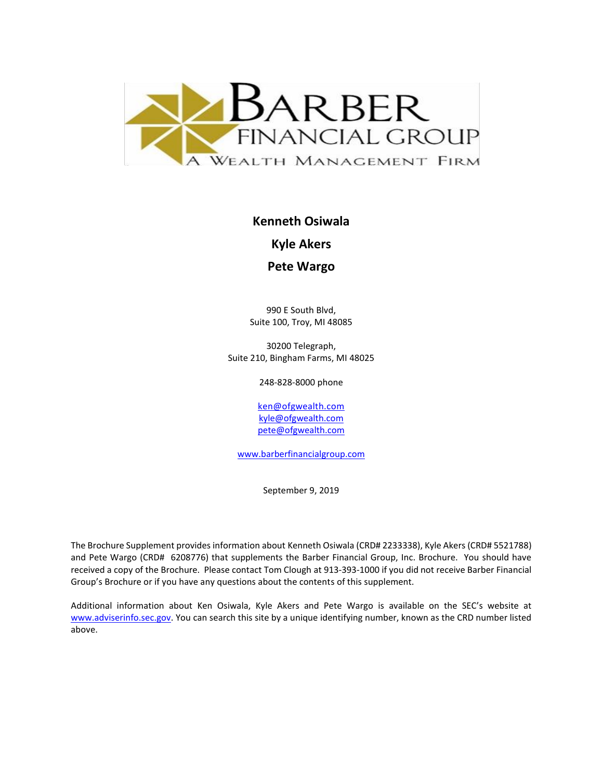

**Kenneth Osiwala**

**Kyle Akers**

**Pete Wargo**

990 E South Blvd, Suite 100, Troy, MI 48085

30200 Telegraph, Suite 210, Bingham Farms, MI 48025

248-828-8000 phone

[ken@ofgwealth.com](mailto:ken@ofgwealth.com) [kyle@ofgwealth.com](mailto:kyle@ofgwealth.com) [pete@ofgwealth.com](mailto:pete@ofgwealth.com)

[www.barberfinancialgroup.com](http://www.barberfinancialgroup.com/)

September 9, 2019

The Brochure Supplement provides information about Kenneth Osiwala (CRD# 2233338), Kyle Akers (CRD# 5521788) and Pete Wargo (CRD# 6208776) that supplements the Barber Financial Group, Inc. Brochure. You should have received a copy of the Brochure. Please contact Tom Clough at 913-393-1000 if you did not receive Barber Financial Group's Brochure or if you have any questions about the contents of this supplement.

Additional information about Ken Osiwala, Kyle Akers and Pete Wargo is available on the SEC's website at [www.adviserinfo.sec.gov.](http://www.adviserinfo.sec.gov/) You can search this site by a unique identifying number, known as the CRD number listed above.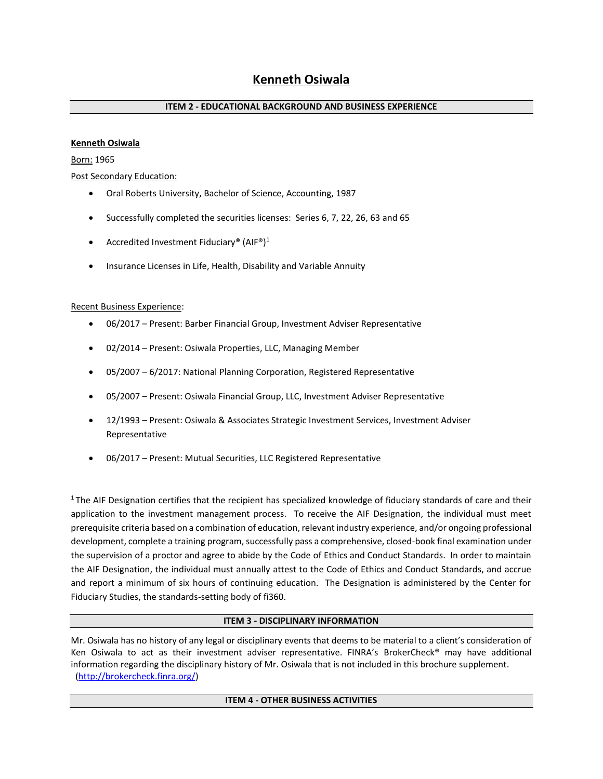#### **Kenneth Osiwala**

Born: 1965

Post Secondary Education:

- Oral Roberts University, Bachelor of Science, Accounting, 1987
- Successfully completed the securities licenses: Series 6, 7, 22, 26, 63 and 65
- Accredited Investment Fiduciary® (AIF®)<sup>1</sup>
- Insurance Licenses in Life, Health, Disability and Variable Annuity

#### Recent Business Experience:

- 06/2017 Present: Barber Financial Group, Investment Adviser Representative
- 02/2014 Present: Osiwala Properties, LLC, Managing Member
- 05/2007 6/2017: National Planning Corporation, Registered Representative
- 05/2007 Present: Osiwala Financial Group, LLC, Investment Adviser Representative
- 12/1993 Present: Osiwala & Associates Strategic Investment Services, Investment Adviser Representative
- 06/2017 Present: Mutual Securities, LLC Registered Representative

 $1$ The AIF Designation certifies that the recipient has specialized knowledge of fiduciary standards of care and their application to the investment management process. To receive the AIF Designation, the individual must meet prerequisite criteria based on a combination of education, relevant industry experience, and/or ongoing professional development, complete a training program, successfully pass a comprehensive, closed-book final examination under the supervision of a proctor and agree to abide by the Code of Ethics and Conduct Standards. In order to maintain the AIF Designation, the individual must annually attest to the Code of Ethics and Conduct Standards, and accrue and report a minimum of six hours of continuing education. The Designation is administered by the Center for Fiduciary Studies, the standards-setting body of fi360.

#### **ITEM 3 - DISCIPLINARY INFORMATION**

Mr. Osiwala has no history of any legal or disciplinary events that deems to be material to a client's consideration of Ken Osiwala to act as their investment adviser representative. FINRA's BrokerCheck® may have additional information regarding the disciplinary history of Mr. Osiwala that is not included in this brochure supplement. [\(http://brokercheck.finra.org/\)](http://brokercheck.finra.org/)

#### **ITEM 4 - OTHER BUSINESS ACTIVITIES**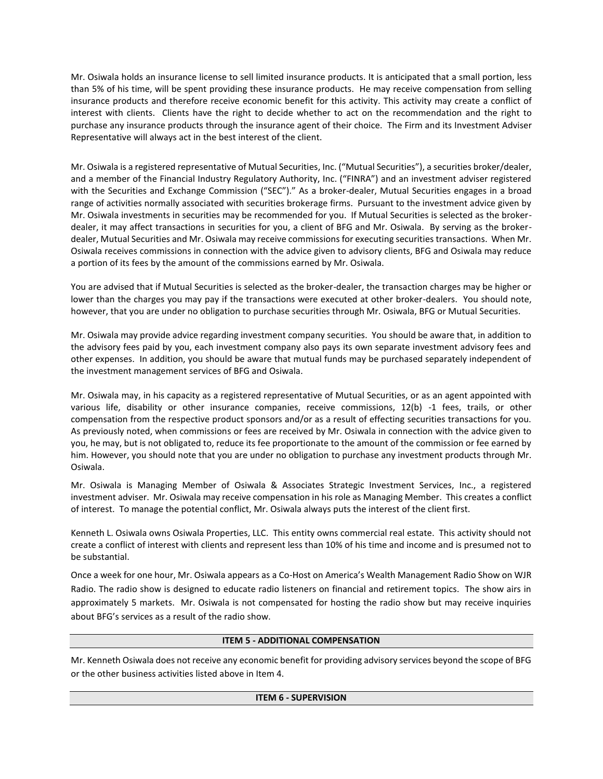Mr. Osiwala holds an insurance license to sell limited insurance products. It is anticipated that a small portion, less than 5% of his time, will be spent providing these insurance products. He may receive compensation from selling insurance products and therefore receive economic benefit for this activity. This activity may create a conflict of interest with clients. Clients have the right to decide whether to act on the recommendation and the right to purchase any insurance products through the insurance agent of their choice. The Firm and its Investment Adviser Representative will always act in the best interest of the client.

Mr. Osiwala is a registered representative of Mutual Securities, Inc. ("Mutual Securities"), a securities broker/dealer, and a member of the Financial Industry Regulatory Authority, Inc. ("FINRA") and an investment adviser registered with the Securities and Exchange Commission ("SEC")." As a broker-dealer, Mutual Securities engages in a broad range of activities normally associated with securities brokerage firms. Pursuant to the investment advice given by Mr. Osiwala investments in securities may be recommended for you. If Mutual Securities is selected as the brokerdealer, it may affect transactions in securities for you, a client of BFG and Mr. Osiwala. By serving as the brokerdealer, Mutual Securities and Mr. Osiwala may receive commissions for executing securities transactions. When Mr. Osiwala receives commissions in connection with the advice given to advisory clients, BFG and Osiwala may reduce a portion of its fees by the amount of the commissions earned by Mr. Osiwala.

You are advised that if Mutual Securities is selected as the broker-dealer, the transaction charges may be higher or lower than the charges you may pay if the transactions were executed at other broker-dealers. You should note, however, that you are under no obligation to purchase securities through Mr. Osiwala, BFG or Mutual Securities.

Mr. Osiwala may provide advice regarding investment company securities. You should be aware that, in addition to the advisory fees paid by you, each investment company also pays its own separate investment advisory fees and other expenses. In addition, you should be aware that mutual funds may be purchased separately independent of the investment management services of BFG and Osiwala.

Mr. Osiwala may, in his capacity as a registered representative of Mutual Securities, or as an agent appointed with various life, disability or other insurance companies, receive commissions, 12(b) -1 fees, trails, or other compensation from the respective product sponsors and/or as a result of effecting securities transactions for you. As previously noted, when commissions or fees are received by Mr. Osiwala in connection with the advice given to you, he may, but is not obligated to, reduce its fee proportionate to the amount of the commission or fee earned by him. However, you should note that you are under no obligation to purchase any investment products through Mr. Osiwala.

Mr. Osiwala is Managing Member of Osiwala & Associates Strategic Investment Services, Inc., a registered investment adviser. Mr. Osiwala may receive compensation in his role as Managing Member. This creates a conflict of interest. To manage the potential conflict, Mr. Osiwala always puts the interest of the client first.

Kenneth L. Osiwala owns Osiwala Properties, LLC. This entity owns commercial real estate. This activity should not create a conflict of interest with clients and represent less than 10% of his time and income and is presumed not to be substantial.

Once a week for one hour, Mr. Osiwala appears as a Co-Host on America's Wealth Management Radio Show on WJR Radio. The radio show is designed to educate radio listeners on financial and retirement topics. The show airs in approximately 5 markets. Mr. Osiwala is not compensated for hosting the radio show but may receive inquiries about BFG's services as a result of the radio show.

#### **ITEM 5 - ADDITIONAL COMPENSATION**

Mr. Kenneth Osiwala does not receive any economic benefit for providing advisory services beyond the scope of BFG or the other business activities listed above in Item 4.

#### **ITEM 6 - SUPERVISION**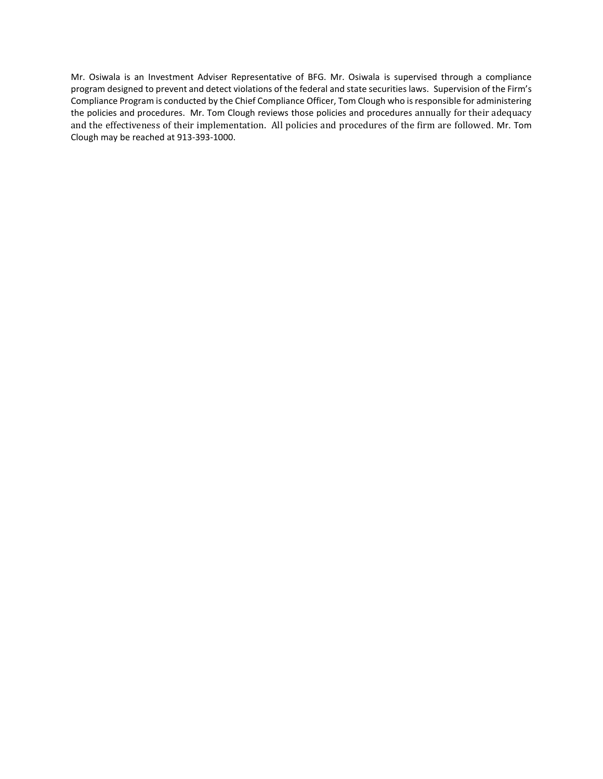Mr. Osiwala is an Investment Adviser Representative of BFG. Mr. Osiwala is supervised through a compliance program designed to prevent and detect violations of the federal and state securities laws. Supervision of the Firm's Compliance Program is conducted by the Chief Compliance Officer, Tom Clough who is responsible for administering the policies and procedures. Mr. Tom Clough reviews those policies and procedures annually for their adequacy and the effectiveness of their implementation. All policies and procedures of the firm are followed. Mr. Tom Clough may be reached at 913-393-1000.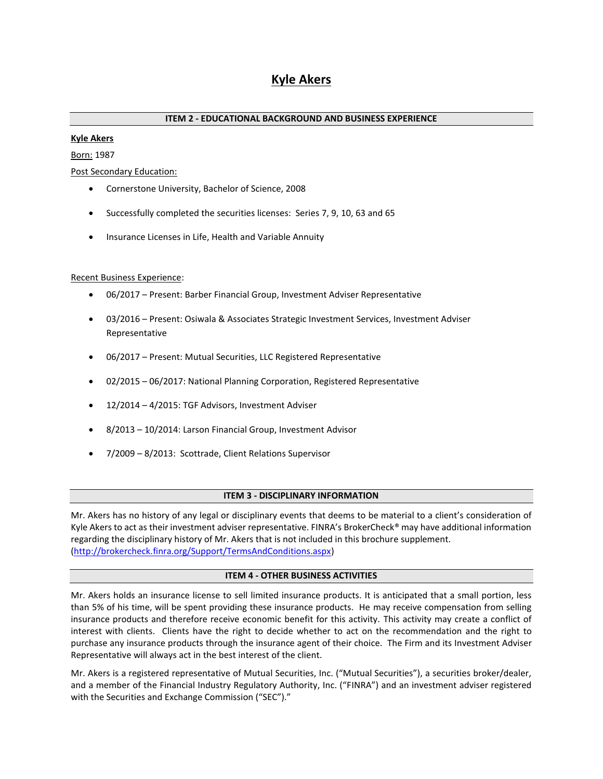# **Kyle Akers**

# **ITEM 2 - EDUCATIONAL BACKGROUND AND BUSINESS EXPERIENCE**

#### **Kyle Akers**

Born: 1987

Post Secondary Education:

- Cornerstone University, Bachelor of Science, 2008
- Successfully completed the securities licenses: Series 7, 9, 10, 63 and 65
- Insurance Licenses in Life, Health and Variable Annuity

#### Recent Business Experience:

- 06/2017 Present: Barber Financial Group, Investment Adviser Representative
- 03/2016 Present: Osiwala & Associates Strategic Investment Services, Investment Adviser Representative
- 06/2017 Present: Mutual Securities, LLC Registered Representative
- 02/2015 06/2017: National Planning Corporation, Registered Representative
- 12/2014 4/2015: TGF Advisors, Investment Adviser
- 8/2013 10/2014: Larson Financial Group, Investment Advisor
- 7/2009 8/2013: Scottrade, Client Relations Supervisor

#### **ITEM 3 - DISCIPLINARY INFORMATION**

Mr. Akers has no history of any legal or disciplinary events that deems to be material to a client's consideration of Kyle Akers to act as their investment adviser representative. FINRA's BrokerCheck® may have additional information regarding the disciplinary history of Mr. Akers that is not included in this brochure supplement. [\(http://brokercheck.finra.org/Support/TermsAndConditions.aspx\)](http://brokercheck.finra.org/Support/TermsAndConditions.aspx)

#### **ITEM 4 - OTHER BUSINESS ACTIVITIES**

Mr. Akers holds an insurance license to sell limited insurance products. It is anticipated that a small portion, less than 5% of his time, will be spent providing these insurance products. He may receive compensation from selling insurance products and therefore receive economic benefit for this activity. This activity may create a conflict of interest with clients. Clients have the right to decide whether to act on the recommendation and the right to purchase any insurance products through the insurance agent of their choice. The Firm and its Investment Adviser Representative will always act in the best interest of the client.

Mr. Akers is a registered representative of Mutual Securities, Inc. ("Mutual Securities"), a securities broker/dealer, and a member of the Financial Industry Regulatory Authority, Inc. ("FINRA") and an investment adviser registered with the Securities and Exchange Commission ("SEC")."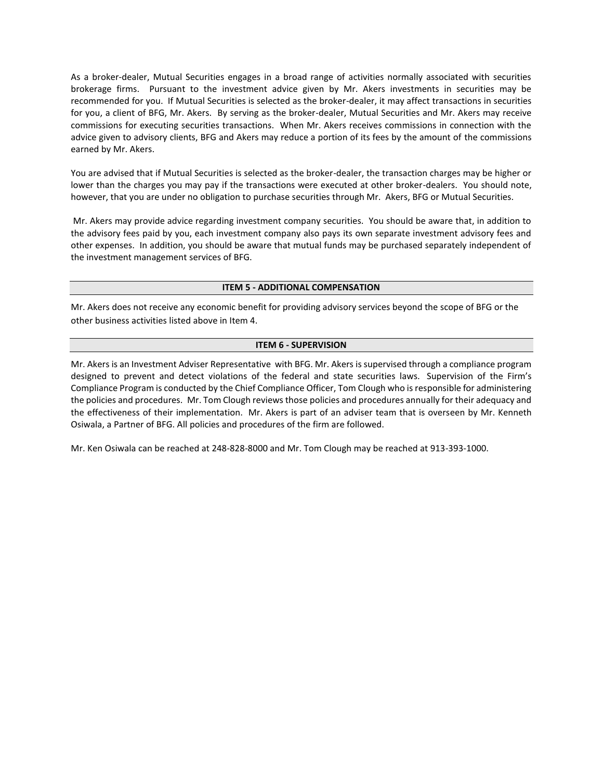As a broker-dealer, Mutual Securities engages in a broad range of activities normally associated with securities brokerage firms. Pursuant to the investment advice given by Mr. Akers investments in securities may be recommended for you. If Mutual Securities is selected as the broker-dealer, it may affect transactions in securities for you, a client of BFG, Mr. Akers. By serving as the broker-dealer, Mutual Securities and Mr. Akers may receive commissions for executing securities transactions. When Mr. Akers receives commissions in connection with the advice given to advisory clients, BFG and Akers may reduce a portion of its fees by the amount of the commissions earned by Mr. Akers.

You are advised that if Mutual Securities is selected as the broker-dealer, the transaction charges may be higher or lower than the charges you may pay if the transactions were executed at other broker-dealers. You should note, however, that you are under no obligation to purchase securities through Mr. Akers, BFG or Mutual Securities.

Mr. Akers may provide advice regarding investment company securities. You should be aware that, in addition to the advisory fees paid by you, each investment company also pays its own separate investment advisory fees and other expenses. In addition, you should be aware that mutual funds may be purchased separately independent of the investment management services of BFG.

#### **ITEM 5 - ADDITIONAL COMPENSATION**

Mr. Akers does not receive any economic benefit for providing advisory services beyond the scope of BFG or the other business activities listed above in Item 4.

#### **ITEM 6 - SUPERVISION**

Mr. Akers is an Investment Adviser Representative with BFG. Mr. Akers is supervised through a compliance program designed to prevent and detect violations of the federal and state securities laws. Supervision of the Firm's Compliance Program is conducted by the Chief Compliance Officer, Tom Clough who is responsible for administering the policies and procedures. Mr. Tom Clough reviews those policies and procedures annually for their adequacy and the effectiveness of their implementation. Mr. Akers is part of an adviser team that is overseen by Mr. Kenneth Osiwala, a Partner of BFG. All policies and procedures of the firm are followed.

Mr. Ken Osiwala can be reached at 248-828-8000 and Mr. Tom Clough may be reached at 913-393-1000.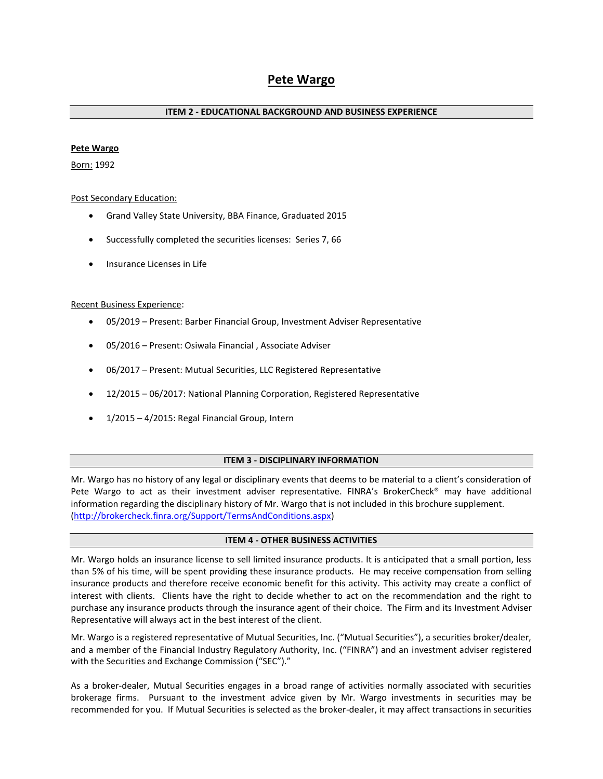# **Pete Wargo**

#### **ITEM 2 - EDUCATIONAL BACKGROUND AND BUSINESS EXPERIENCE**

#### **Pete Wargo**

Born: 1992

#### Post Secondary Education:

- Grand Valley State University, BBA Finance, Graduated 2015
- Successfully completed the securities licenses: Series 7, 66
- Insurance Licenses in Life

#### Recent Business Experience:

- 05/2019 Present: Barber Financial Group, Investment Adviser Representative
- 05/2016 Present: Osiwala Financial , Associate Adviser
- 06/2017 Present: Mutual Securities, LLC Registered Representative
- 12/2015 06/2017: National Planning Corporation, Registered Representative
- 1/2015 4/2015: Regal Financial Group, Intern

#### **ITEM 3 - DISCIPLINARY INFORMATION**

Mr. Wargo has no history of any legal or disciplinary events that deems to be material to a client's consideration of Pete Wargo to act as their investment adviser representative. FINRA's BrokerCheck® may have additional information regarding the disciplinary history of Mr. Wargo that is not included in this brochure supplement. [\(http://brokercheck.finra.org/Support/TermsAndConditions.aspx\)](http://brokercheck.finra.org/Support/TermsAndConditions.aspx)

#### **ITEM 4 - OTHER BUSINESS ACTIVITIES**

Mr. Wargo holds an insurance license to sell limited insurance products. It is anticipated that a small portion, less than 5% of his time, will be spent providing these insurance products. He may receive compensation from selling insurance products and therefore receive economic benefit for this activity. This activity may create a conflict of interest with clients. Clients have the right to decide whether to act on the recommendation and the right to purchase any insurance products through the insurance agent of their choice. The Firm and its Investment Adviser Representative will always act in the best interest of the client.

Mr. Wargo is a registered representative of Mutual Securities, Inc. ("Mutual Securities"), a securities broker/dealer, and a member of the Financial Industry Regulatory Authority, Inc. ("FINRA") and an investment adviser registered with the Securities and Exchange Commission ("SEC")."

As a broker-dealer, Mutual Securities engages in a broad range of activities normally associated with securities brokerage firms. Pursuant to the investment advice given by Mr. Wargo investments in securities may be recommended for you. If Mutual Securities is selected as the broker-dealer, it may affect transactions in securities